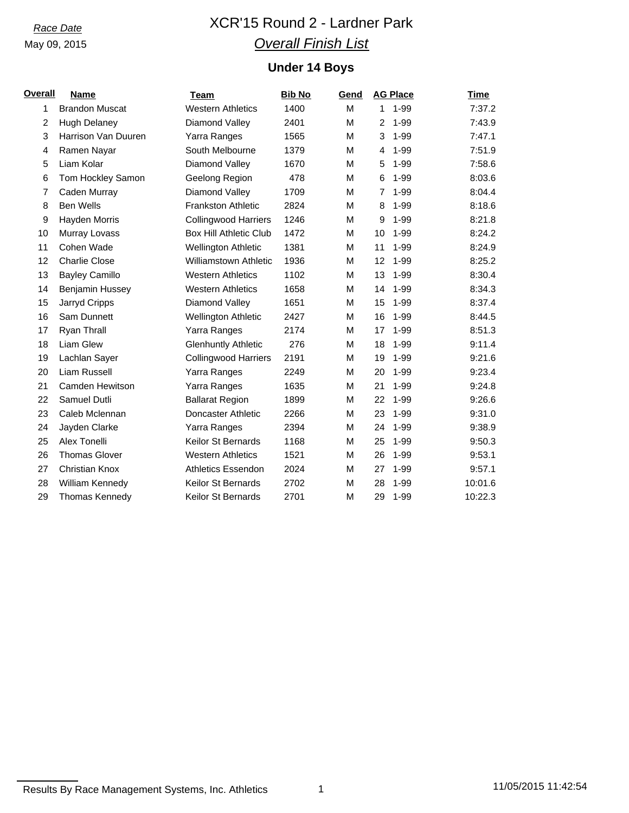# *Race Date* XCR'15 Round 2 - Lardner Park *Overall Finish List*

## **Under 14 Boys**

| <u>Overall</u> | <b>Name</b>            | <b>Team</b>                   | <b>Bib No</b> | Gend |                | <b>AG Place</b> | Time    |
|----------------|------------------------|-------------------------------|---------------|------|----------------|-----------------|---------|
| 1              | <b>Brandon Muscat</b>  | <b>Western Athletics</b>      | 1400          | M    | $\mathbf{1}$   | $1 - 99$        | 7:37.2  |
| 2              | <b>Hugh Delaney</b>    | Diamond Valley                | 2401          | M    | $\overline{2}$ | $1 - 99$        | 7:43.9  |
| 3              | Harrison Van Duuren    | Yarra Ranges                  | 1565          | М    | 3              | $1 - 99$        | 7:47.1  |
| 4              | Ramen Nayar            | South Melbourne               | 1379          | М    | 4              | $1 - 99$        | 7:51.9  |
| 5              | Liam Kolar             | Diamond Valley                | 1670          | М    | 5              | $1 - 99$        | 7:58.6  |
| 6              | Tom Hockley Samon      | Geelong Region                | 478           | М    | 6              | $1 - 99$        | 8:03.6  |
| $\overline{7}$ | Caden Murray           | Diamond Valley                | 1709          | м    | $\overline{7}$ | $1 - 99$        | 8:04.4  |
| 8              | <b>Ben Wells</b>       | <b>Frankston Athletic</b>     | 2824          | м    | 8              | $1 - 99$        | 8:18.6  |
| 9              | Hayden Morris          | <b>Collingwood Harriers</b>   | 1246          | м    | 9              | $1 - 99$        | 8:21.8  |
| 10             | Murray Lovass          | <b>Box Hill Athletic Club</b> | 1472          | М    | 10             | $1 - 99$        | 8:24.2  |
| 11             | Cohen Wade             | Wellington Athletic           | 1381          | м    | 11             | $1 - 99$        | 8:24.9  |
| 12             | <b>Charlie Close</b>   | <b>Williamstown Athletic</b>  | 1936          | М    | 12             | 1-99            | 8:25.2  |
| 13             | <b>Bayley Camillo</b>  | <b>Western Athletics</b>      | 1102          | М    | 13             | $1 - 99$        | 8:30.4  |
| 14             | Benjamin Hussey        | <b>Western Athletics</b>      | 1658          | M    | 14             | $1 - 99$        | 8:34.3  |
| 15             | Jarryd Cripps          | Diamond Valley                | 1651          | M    | 15             | $1 - 99$        | 8:37.4  |
| 16             | Sam Dunnett            | <b>Wellington Athletic</b>    | 2427          | м    | 16             | 1-99            | 8:44.5  |
| 17             | Ryan Thrall            | Yarra Ranges                  | 2174          | M    | 17             | $1 - 99$        | 8:51.3  |
| 18             | <b>Liam Glew</b>       | <b>Glenhuntly Athletic</b>    | 276           | М    | 18             | 1-99            | 9:11.4  |
| 19             | Lachlan Sayer          | <b>Collingwood Harriers</b>   | 2191          | м    | 19             | $1 - 99$        | 9:21.6  |
| 20             | Liam Russell           | Yarra Ranges                  | 2249          | М    | 20             | $1 - 99$        | 9:23.4  |
| 21             | <b>Camden Hewitson</b> | Yarra Ranges                  | 1635          | M    | 21             | $1 - 99$        | 9:24.8  |
| 22             | Samuel Dutli           | <b>Ballarat Region</b>        | 1899          | M    | 22             | $1 - 99$        | 9:26.6  |
| 23             | Caleb Mclennan         | Doncaster Athletic            | 2266          | м    | 23             | 1-99            | 9:31.0  |
| 24             | Jayden Clarke          | Yarra Ranges                  | 2394          | М    | 24             | $1 - 99$        | 9:38.9  |
| 25             | Alex Tonelli           | Keilor St Bernards            | 1168          | М    | 25             | $1 - 99$        | 9:50.3  |
| 26             | <b>Thomas Glover</b>   | <b>Western Athletics</b>      | 1521          | M    | 26             | $1 - 99$        | 9:53.1  |
| 27             | <b>Christian Knox</b>  | <b>Athletics Essendon</b>     | 2024          | м    | 27             | 1-99            | 9:57.1  |
| 28             | William Kennedy        | <b>Keilor St Bernards</b>     | 2702          | M    | 28             | $1 - 99$        | 10:01.6 |
| 29             | Thomas Kennedy         | Keilor St Bernards            | 2701          | M    | 29             | $1 - 99$        | 10:22.3 |

Results By Race Management Systems, Inc. Athletics 1 11105/2015 11:42:54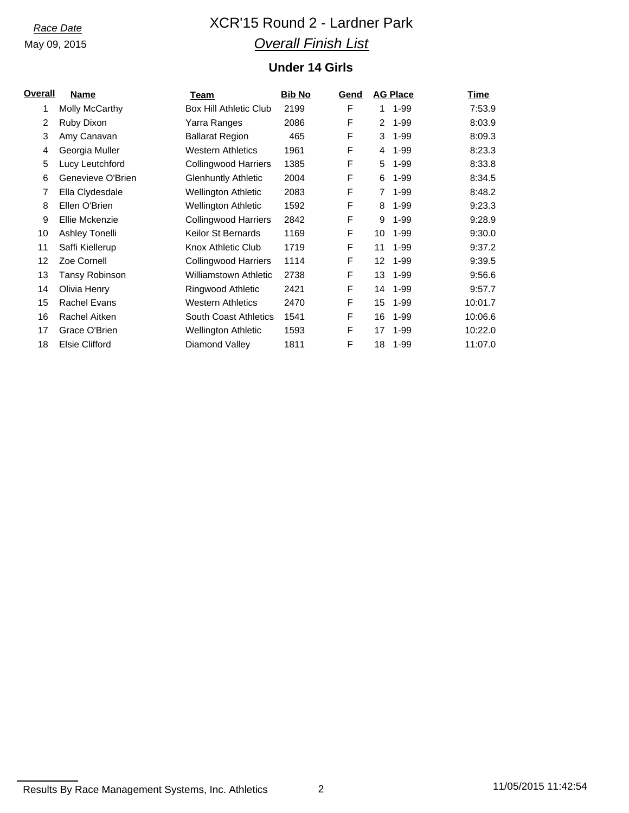# *Race Date* XCR'15 Round 2 - Lardner Park *Overall Finish List*

## **Under 14 Girls**

| <u>Overall</u> | Name                  | Team                          | <b>Bib No</b> | Gend | <b>AG Place</b> |          | <u>Time</u> |
|----------------|-----------------------|-------------------------------|---------------|------|-----------------|----------|-------------|
| 1              | Molly McCarthy        | <b>Box Hill Athletic Club</b> | 2199          | F    | 1               | $1 - 99$ | 7:53.9      |
| $\overline{2}$ | Ruby Dixon            | Yarra Ranges                  | 2086          | F    | 2               | $1 - 99$ | 8:03.9      |
| 3              | Amy Canavan           | <b>Ballarat Region</b>        | 465           | F    | 3               | $1 - 99$ | 8:09.3      |
| 4              | Georgia Muller        | <b>Western Athletics</b>      | 1961          | F    | 4               | $1 - 99$ | 8:23.3      |
| 5              | Lucy Leutchford       | <b>Collingwood Harriers</b>   | 1385          | F    | 5               | $1 - 99$ | 8:33.8      |
| 6              | Genevieve O'Brien     | <b>Glenhuntly Athletic</b>    | 2004          | F    | 6               | $1 - 99$ | 8:34.5      |
| 7              | Ella Clydesdale       | <b>Wellington Athletic</b>    | 2083          | F    | 7               | $1 - 99$ | 8:48.2      |
| 8              | Ellen O'Brien         | <b>Wellington Athletic</b>    | 1592          | F    | 8               | $1 - 99$ | 9:23.3      |
| 9              | Ellie Mckenzie        | <b>Collingwood Harriers</b>   | 2842          | F    | 9               | $1 - 99$ | 9:28.9      |
| 10             | Ashley Tonelli        | Keilor St Bernards            | 1169          | F    | 10              | $1 - 99$ | 9:30.0      |
| 11             | Saffi Kiellerup       | Knox Athletic Club            | 1719          | F    | 11              | $1 - 99$ | 9:37.2      |
| 12             | Zoe Cornell           | <b>Collingwood Harriers</b>   | 1114          | F    | 12 <sup>°</sup> | $1 - 99$ | 9:39.5      |
| 13             | Tansy Robinson        | Williamstown Athletic         | 2738          | F    | 13              | $1 - 99$ | 9:56.6      |
| 14             | Olivia Henry          | Ringwood Athletic             | 2421          | F    | 14              | $1 - 99$ | 9:57.7      |
| 15             | Rachel Evans          | <b>Western Athletics</b>      | 2470          | F    | 15              | $1 - 99$ | 10:01.7     |
| 16             | Rachel Aitken         | <b>South Coast Athletics</b>  | 1541          | F    | 16              | $1 - 99$ | 10:06.6     |
| 17             | Grace O'Brien         | Wellington Athletic           | 1593          | F    | 17              | $1 - 99$ | 10:22.0     |
| 18             | <b>Elsie Clifford</b> | Diamond Valley                | 1811          | F    | 18              | 1-99     | 11:07.0     |

Results By Race Management Systems, Inc. Athletics 2 11/05/2015 11:42:54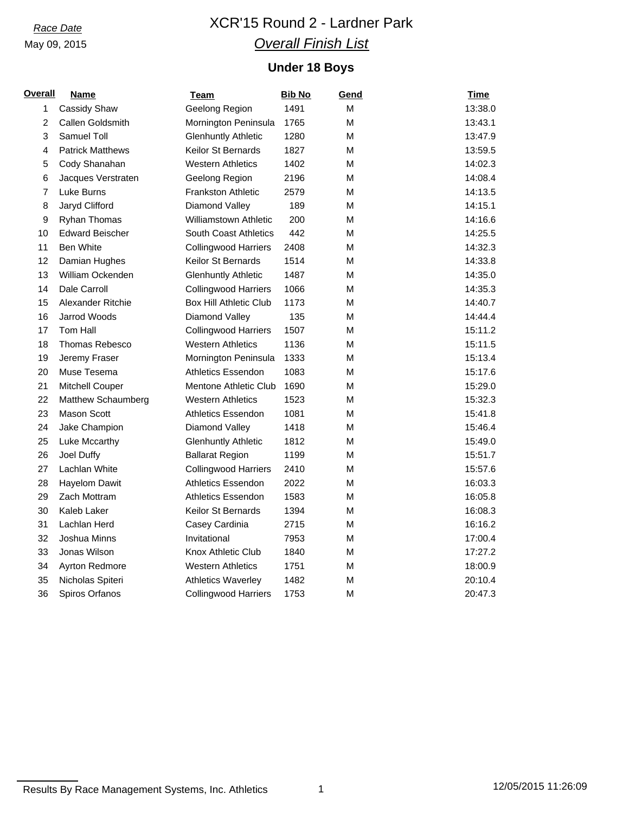# *Race Date* XCR'15 Round 2 - Lardner Park *Overall Finish List*

## **Under 18 Boys**

| <b>Overall</b> | <b>Name</b>             | <b>Team</b>                  | <b>Bib No</b> | Gend | <b>Time</b> |
|----------------|-------------------------|------------------------------|---------------|------|-------------|
| $\mathbf{1}$   | Cassidy Shaw            | Geelong Region               | 1491          | M    | 13:38.0     |
| $\overline{2}$ | Callen Goldsmith        | Mornington Peninsula         | 1765          | M    | 13:43.1     |
| 3              | <b>Samuel Toll</b>      | <b>Glenhuntly Athletic</b>   | 1280          | М    | 13:47.9     |
| 4              | <b>Patrick Matthews</b> | Keilor St Bernards           | 1827          | M    | 13:59.5     |
| 5              | Cody Shanahan           | <b>Western Athletics</b>     | 1402          | М    | 14:02.3     |
| 6              | Jacques Verstraten      | Geelong Region               | 2196          | M    | 14:08.4     |
| $\overline{7}$ | Luke Burns              | Frankston Athletic           | 2579          | M    | 14:13.5     |
| 8              | Jaryd Clifford          | Diamond Valley               | 189           | M    | 14:15.1     |
| 9              | Ryhan Thomas            | <b>Williamstown Athletic</b> | 200           | M    | 14:16.6     |
| 10             | <b>Edward Beischer</b>  | <b>South Coast Athletics</b> | 442           | М    | 14:25.5     |
| 11             | <b>Ben White</b>        | <b>Collingwood Harriers</b>  | 2408          | М    | 14:32.3     |
| 12             | Damian Hughes           | Keilor St Bernards           | 1514          | M    | 14:33.8     |
| 13             | William Ockenden        | <b>Glenhuntly Athletic</b>   | 1487          | М    | 14:35.0     |
| 14             | Dale Carroll            | Collingwood Harriers         | 1066          | М    | 14:35.3     |
| 15             | Alexander Ritchie       | Box Hill Athletic Club       | 1173          | M    | 14:40.7     |
| 16             | <b>Jarrod Woods</b>     | Diamond Valley               | 135           | М    | 14:44.4     |
| 17             | Tom Hall                | <b>Collingwood Harriers</b>  | 1507          | М    | 15:11.2     |
| 18             | Thomas Rebesco          | <b>Western Athletics</b>     | 1136          | М    | 15:11.5     |
| 19             | Jeremy Fraser           | Mornington Peninsula         | 1333          | М    | 15:13.4     |
| 20             | Muse Tesema             | <b>Athletics Essendon</b>    | 1083          | М    | 15:17.6     |
| 21             | Mitchell Couper         | <b>Mentone Athletic Club</b> | 1690          | м    | 15:29.0     |
| 22             | Matthew Schaumberg      | <b>Western Athletics</b>     | 1523          | М    | 15:32.3     |
| 23             | <b>Mason Scott</b>      | <b>Athletics Essendon</b>    | 1081          | М    | 15:41.8     |
| 24             | Jake Champion           | Diamond Valley               | 1418          | М    | 15:46.4     |
| 25             | Luke Mccarthy           | <b>Glenhuntly Athletic</b>   | 1812          | М    | 15:49.0     |
| 26             | Joel Duffy              | <b>Ballarat Region</b>       | 1199          | м    | 15:51.7     |
| 27             | Lachlan White           | <b>Collingwood Harriers</b>  | 2410          | М    | 15:57.6     |
| 28             | <b>Hayelom Dawit</b>    | <b>Athletics Essendon</b>    | 2022          | М    | 16:03.3     |
| 29             | Zach Mottram            | <b>Athletics Essendon</b>    | 1583          | М    | 16:05.8     |
| 30             | Kaleb Laker             | <b>Keilor St Bernards</b>    | 1394          | М    | 16:08.3     |
| 31             | Lachlan Herd            | Casey Cardinia               | 2715          | M    | 16:16.2     |
| 32             | Joshua Minns            | Invitational                 | 7953          | М    | 17:00.4     |
| 33             | Jonas Wilson            | Knox Athletic Club           | 1840          | М    | 17:27.2     |
| 34             | Ayrton Redmore          | <b>Western Athletics</b>     | 1751          | М    | 18:00.9     |
| 35             | Nicholas Spiteri        | <b>Athletics Waverley</b>    | 1482          | M    | 20:10.4     |
| 36             | <b>Spiros Orfanos</b>   | <b>Collingwood Harriers</b>  | 1753          | М    | 20:47.3     |

Results By Race Management Systems, Inc. Athletics 1 12/05/2015 11:26:09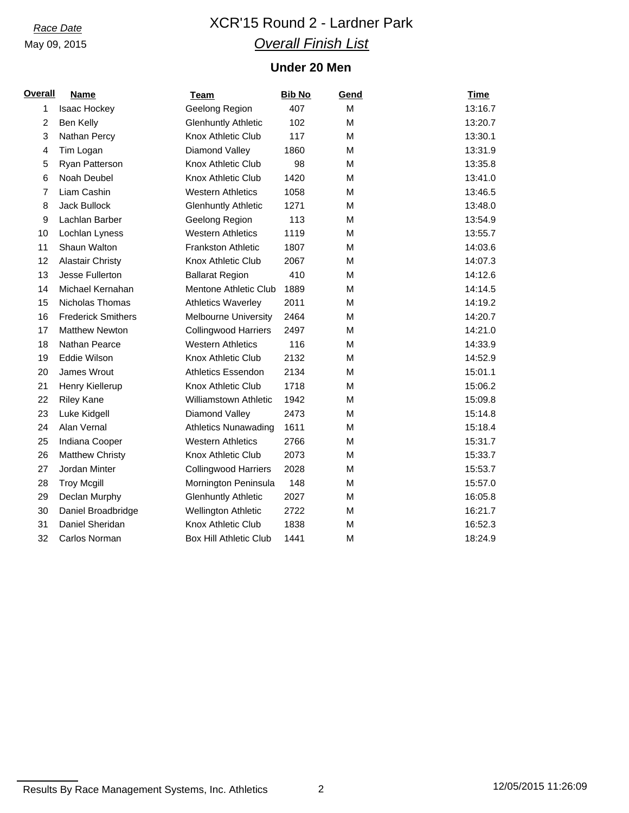# *Race Date* XCR'15 Round 2 - Lardner Park *Overall Finish List*

## **Under 20 Men**

| <b>Overall</b> | <b>Name</b>               | <b>Team</b>                   | <b>Bib No</b> | Gend | <b>Time</b> |
|----------------|---------------------------|-------------------------------|---------------|------|-------------|
| 1              | Isaac Hockey              | Geelong Region                | 407           | M    | 13:16.7     |
| 2              | Ben Kelly                 | <b>Glenhuntly Athletic</b>    | 102           | M    | 13:20.7     |
| 3              | Nathan Percy              | Knox Athletic Club            | 117           | М    | 13:30.1     |
| $\overline{4}$ | Tim Logan                 | Diamond Valley                | 1860          | М    | 13:31.9     |
| 5              | Ryan Patterson            | Knox Athletic Club            | 98            | M    | 13:35.8     |
| 6              | Noah Deubel               | Knox Athletic Club            | 1420          | M    | 13:41.0     |
| 7              | Liam Cashin               | <b>Western Athletics</b>      | 1058          | Μ    | 13:46.5     |
| 8              | Jack Bullock              | <b>Glenhuntly Athletic</b>    | 1271          | M    | 13:48.0     |
| 9              | Lachlan Barber            | Geelong Region                | 113           | М    | 13:54.9     |
| 10             | Lochlan Lyness            | <b>Western Athletics</b>      | 1119          | М    | 13:55.7     |
| 11             | Shaun Walton              | <b>Frankston Athletic</b>     | 1807          | M    | 14:03.6     |
| 12             | <b>Alastair Christy</b>   | <b>Knox Athletic Club</b>     | 2067          | M    | 14:07.3     |
| 13             | Jesse Fullerton           | <b>Ballarat Region</b>        | 410           | M    | 14:12.6     |
| 14             | Michael Kernahan          | Mentone Athletic Club         | 1889          | М    | 14:14.5     |
| 15             | Nicholas Thomas           | <b>Athletics Waverley</b>     | 2011          | М    | 14:19.2     |
| 16             | <b>Frederick Smithers</b> | <b>Melbourne University</b>   | 2464          | М    | 14:20.7     |
| 17             | <b>Matthew Newton</b>     | <b>Collingwood Harriers</b>   | 2497          | M    | 14:21.0     |
| 18             | Nathan Pearce             | <b>Western Athletics</b>      | 116           | М    | 14:33.9     |
| 19             | Eddie Wilson              | Knox Athletic Club            | 2132          | M    | 14:52.9     |
| 20             | James Wrout               | <b>Athletics Essendon</b>     | 2134          | М    | 15:01.1     |
| 21             | Henry Kiellerup           | Knox Athletic Club            | 1718          | м    | 15:06.2     |
| 22             | <b>Riley Kane</b>         | <b>Williamstown Athletic</b>  | 1942          | M    | 15:09.8     |
| 23             | Luke Kidgell              | Diamond Valley                | 2473          | Μ    | 15:14.8     |
| 24             | Alan Vernal               | <b>Athletics Nunawading</b>   | 1611          | М    | 15:18.4     |
| 25             | Indiana Cooper            | <b>Western Athletics</b>      | 2766          | М    | 15:31.7     |
| 26             | <b>Matthew Christy</b>    | Knox Athletic Club            | 2073          | М    | 15:33.7     |
| 27             | Jordan Minter             | <b>Collingwood Harriers</b>   | 2028          | М    | 15:53.7     |
| 28             | <b>Troy Mcgill</b>        | Mornington Peninsula          | 148           | М    | 15:57.0     |
| 29             | Declan Murphy             | <b>Glenhuntly Athletic</b>    | 2027          | M    | 16:05.8     |
| 30             | Daniel Broadbridge        | Wellington Athletic           | 2722          | Μ    | 16:21.7     |
| 31             | Daniel Sheridan           | Knox Athletic Club            | 1838          | М    | 16:52.3     |
| 32             | Carlos Norman             | <b>Box Hill Athletic Club</b> | 1441          | M    | 18:24.9     |

Results By Race Management Systems, Inc. Athletics 2 12/05/2015 11:26:09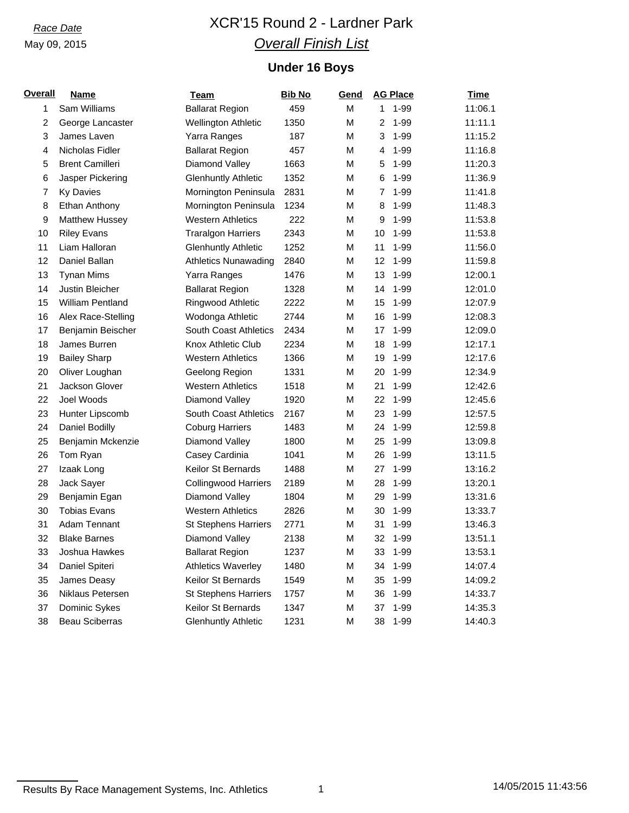# *Race Date* XCR'15 Round 2 - Lardner Park *Overall Finish List*

## **Under 16 Boys**

| <u>Overall</u> | <u>Name</u>            | <b>Team</b>                  | <b>Bib No</b> | Gend | <b>AG Place</b>          | <b>Time</b> |
|----------------|------------------------|------------------------------|---------------|------|--------------------------|-------------|
| 1              | Sam Williams           | <b>Ballarat Region</b>       | 459           | М    | $1 - 99$<br>$\mathbf{1}$ | 11:06.1     |
| 2              | George Lancaster       | <b>Wellington Athletic</b>   | 1350          | М    | 2<br>$1 - 99$            | 11:11.1     |
| 3              | James Laven            | Yarra Ranges                 | 187           | М    | 3<br>$1 - 99$            | 11:15.2     |
| 4              | Nicholas Fidler        | <b>Ballarat Region</b>       | 457           | М    | $1 - 99$<br>4            | 11:16.8     |
| 5              | <b>Brent Camilleri</b> | Diamond Valley               | 1663          | М    | $1 - 99$<br>5            | 11:20.3     |
| 6              | Jasper Pickering       | <b>Glenhuntly Athletic</b>   | 1352          | М    | $1 - 99$<br>6            | 11:36.9     |
| $\overline{7}$ | Ky Davies              | Mornington Peninsula         | 2831          | М    | 1-99<br>7                | 11:41.8     |
| 8              | Ethan Anthony          | Mornington Peninsula         | 1234          | М    | 8<br>$1 - 99$            | 11:48.3     |
| 9              | Matthew Hussey         | <b>Western Athletics</b>     | 222           | М    | 9<br>$1 - 99$            | 11:53.8     |
| 10             | <b>Riley Evans</b>     | <b>Traralgon Harriers</b>    | 2343          | М    | 10<br>$1 - 99$           | 11:53.8     |
| 11             | Liam Halloran          | <b>Glenhuntly Athletic</b>   | 1252          | M    | 11<br>$1 - 99$           | 11:56.0     |
| 12             | Daniel Ballan          | <b>Athletics Nunawading</b>  | 2840          | М    | $1 - 99$<br>12           | 11:59.8     |
| 13             | <b>Tynan Mims</b>      | Yarra Ranges                 | 1476          | М    | $1 - 99$<br>13           | 12:00.1     |
| 14             | Justin Bleicher        | <b>Ballarat Region</b>       | 1328          | М    | $1 - 99$<br>14           | 12:01.0     |
| 15             | William Pentland       | Ringwood Athletic            | 2222          | М    | 15<br>$1 - 99$           | 12:07.9     |
| 16             | Alex Race-Stelling     | Wodonga Athletic             | 2744          | М    | $1 - 99$<br>16           | 12:08.3     |
| 17             | Benjamin Beischer      | <b>South Coast Athletics</b> | 2434          | Μ    | $1 - 99$<br>17           | 12:09.0     |
| 18             | James Burren           | Knox Athletic Club           | 2234          | Μ    | $1 - 99$<br>18           | 12:17.1     |
| 19             | <b>Bailey Sharp</b>    | <b>Western Athletics</b>     | 1366          | М    | 19<br>$1 - 99$           | 12:17.6     |
| 20             | Oliver Loughan         | Geelong Region               | 1331          | M    | 20<br>$1 - 99$           | 12:34.9     |
| 21             | Jackson Glover         | <b>Western Athletics</b>     | 1518          | М    | 21<br>$1 - 99$           | 12:42.6     |
| 22             | Joel Woods             | Diamond Valley               | 1920          | М    | 22<br>$1 - 99$           | 12:45.6     |
| 23             | Hunter Lipscomb        | South Coast Athletics        | 2167          | М    | 23<br>$1 - 99$           | 12:57.5     |
| 24             | Daniel Bodilly         | <b>Coburg Harriers</b>       | 1483          | М    | 24<br>$1 - 99$           | 12:59.8     |
| 25             | Benjamin Mckenzie      | Diamond Valley               | 1800          | М    | 25<br>$1 - 99$           | 13:09.8     |
| 26             | Tom Ryan               | Casey Cardinia               | 1041          | M    | 26<br>$1 - 99$           | 13:11.5     |
| 27             | Izaak Long             | <b>Keilor St Bernards</b>    | 1488          | М    | $1 - 99$<br>27           | 13:16.2     |
| 28             | Jack Sayer             | <b>Collingwood Harriers</b>  | 2189          | М    | $1 - 99$<br>28           | 13:20.1     |
| 29             | Benjamin Egan          | Diamond Valley               | 1804          | М    | $1 - 99$<br>29           | 13:31.6     |
| 30             | <b>Tobias Evans</b>    | <b>Western Athletics</b>     | 2826          | M    | $1 - 99$<br>30           | 13:33.7     |
| 31             | Adam Tennant           | <b>St Stephens Harriers</b>  | 2771          | M    | $1 - 99$<br>31           | 13:46.3     |
| 32             | <b>Blake Barnes</b>    | Diamond Valley               | 2138          | М    | $1 - 99$<br>32           | 13:51.1     |
| 33             | Joshua Hawkes          | <b>Ballarat Region</b>       | 1237          | М    | 33<br>$1 - 99$           | 13:53.1     |
| 34             | Daniel Spiteri         | <b>Athletics Waverley</b>    | 1480          | М    | $1 - 99$<br>34           | 14:07.4     |
| 35             | James Deasy            | Keilor St Bernards           | 1549          | М    | $1 - 99$<br>35           | 14:09.2     |
| 36             | Niklaus Petersen       | <b>St Stephens Harriers</b>  | 1757          | М    | $1 - 99$<br>36           | 14:33.7     |
| 37             | Dominic Sykes          | Keilor St Bernards           | 1347          | M    | $1 - 99$<br>37           | 14:35.3     |
| 38             | <b>Beau Sciberras</b>  | <b>Glenhuntly Athletic</b>   | 1231          | M    | $1 - 99$<br>38           | 14:40.3     |

Results By Race Management Systems, Inc. Athletics 1 14/05/2015 11:43:56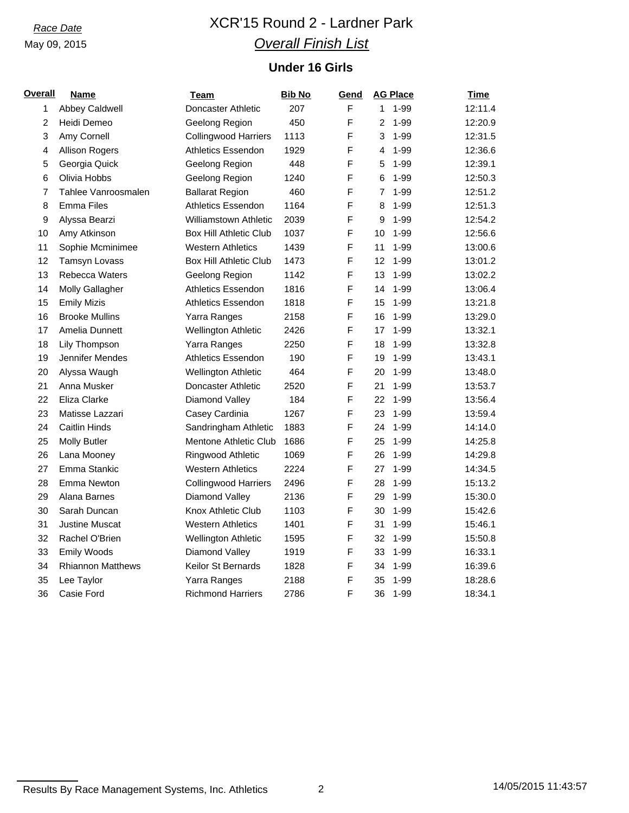# *Race Date* XCR'15 Round 2 - Lardner Park *Overall Finish List*

## **Under 16 Girls**

| <b>Overall</b> | <b>Name</b>              | <b>Team</b>                   | <b>Bib No</b> | <u>Gend</u> | <b>AG Place</b> | <b>Time</b> |
|----------------|--------------------------|-------------------------------|---------------|-------------|-----------------|-------------|
| 1              | Abbey Caldwell           | Doncaster Athletic            | 207           | F           | $1 - 99$<br>1   | 12:11.4     |
| $\overline{c}$ | Heidi Demeo              | Geelong Region                | 450           | F           | $1 - 99$<br>2   | 12:20.9     |
| 3              | Amy Cornell              | <b>Collingwood Harriers</b>   | 1113          | F           | $1 - 99$<br>3   | 12:31.5     |
| 4              | <b>Allison Rogers</b>    | Athletics Essendon            | 1929          | F           | $1 - 99$<br>4   | 12:36.6     |
| 5              | Georgia Quick            | Geelong Region                | 448           | F           | $1 - 99$<br>5   | 12:39.1     |
| 6              | Olivia Hobbs             | Geelong Region                | 1240          | F           | $1 - 99$<br>6   | 12:50.3     |
| $\overline{7}$ | Tahlee Vanroosmalen      | <b>Ballarat Region</b>        | 460           | F           | $1 - 99$<br>7   | 12:51.2     |
| 8              | <b>Emma Files</b>        | Athletics Essendon            | 1164          | F           | $1 - 99$<br>8   | 12:51.3     |
| 9              | Alyssa Bearzi            | <b>Williamstown Athletic</b>  | 2039          | F           | 9<br>$1 - 99$   | 12:54.2     |
| 10             | Amy Atkinson             | <b>Box Hill Athletic Club</b> | 1037          | F           | 10<br>$1 - 99$  | 12:56.6     |
| 11             | Sophie Mcminimee         | <b>Western Athletics</b>      | 1439          | F           | 11<br>$1 - 99$  | 13:00.6     |
| 12             | Tamsyn Lovass            | <b>Box Hill Athletic Club</b> | 1473          | $\mathsf F$ | 12<br>$1 - 99$  | 13:01.2     |
| 13             | Rebecca Waters           | Geelong Region                | 1142          | F           | 13<br>$1 - 99$  | 13:02.2     |
| 14             | <b>Molly Gallagher</b>   | <b>Athletics Essendon</b>     | 1816          | F           | $1 - 99$<br>14  | 13:06.4     |
| 15             | <b>Emily Mizis</b>       | <b>Athletics Essendon</b>     | 1818          | F           | 15<br>$1 - 99$  | 13:21.8     |
| 16             | <b>Brooke Mullins</b>    | Yarra Ranges                  | 2158          | F           | $1 - 99$<br>16  | 13:29.0     |
| 17             | Amelia Dunnett           | Wellington Athletic           | 2426          | F           | $1 - 99$<br>17  | 13:32.1     |
| 18             | Lily Thompson            | Yarra Ranges                  | 2250          | F           | $1 - 99$<br>18  | 13:32.8     |
| 19             | Jennifer Mendes          | <b>Athletics Essendon</b>     | 190           | F           | $1 - 99$<br>19  | 13:43.1     |
| 20             | Alyssa Waugh             | <b>Wellington Athletic</b>    | 464           | F           | 20<br>$1 - 99$  | 13:48.0     |
| 21             | Anna Musker              | Doncaster Athletic            | 2520          | F           | $1 - 99$<br>21  | 13:53.7     |
| 22             | Eliza Clarke             | Diamond Valley                | 184           | F           | $1 - 99$<br>22  | 13:56.4     |
| 23             | Matisse Lazzari          | Casey Cardinia                | 1267          | F           | $1 - 99$<br>23  | 13:59.4     |
| 24             | <b>Caitlin Hinds</b>     | Sandringham Athletic          | 1883          | F           | $1 - 99$<br>24  | 14:14.0     |
| 25             | <b>Molly Butler</b>      | <b>Mentone Athletic Club</b>  | 1686          | F           | $1 - 99$<br>25  | 14:25.8     |
| 26             | Lana Mooney              | Ringwood Athletic             | 1069          | F           | $1 - 99$<br>26  | 14:29.8     |
| 27             | Emma Stankic             | <b>Western Athletics</b>      | 2224          | F           | $1 - 99$<br>27  | 14:34.5     |
| 28             | Emma Newton              | <b>Collingwood Harriers</b>   | 2496          | F           | $1 - 99$<br>28  | 15:13.2     |
| 29             | Alana Barnes             | Diamond Valley                | 2136          | F           | $1 - 99$<br>29  | 15:30.0     |
| 30             | Sarah Duncan             | Knox Athletic Club            | 1103          | F           | $1 - 99$<br>30  | 15:42.6     |
| 31             | <b>Justine Muscat</b>    | <b>Western Athletics</b>      | 1401          | F           | $1 - 99$<br>31  | 15:46.1     |
| 32             | Rachel O'Brien           | <b>Wellington Athletic</b>    | 1595          | F           | $1 - 99$<br>32  | 15:50.8     |
| 33             | Emily Woods              | Diamond Valley                | 1919          | F           | $1 - 99$<br>33  | 16:33.1     |
| 34             | <b>Rhiannon Matthews</b> | Keilor St Bernards            | 1828          | $\mathsf F$ | $1 - 99$<br>34  | 16:39.6     |
| 35             | Lee Taylor               | Yarra Ranges                  | 2188          | F           | 35<br>$1 - 99$  | 18:28.6     |
| 36             | Casie Ford               | <b>Richmond Harriers</b>      | 2786          | F           | 36<br>$1 - 99$  | 18:34.1     |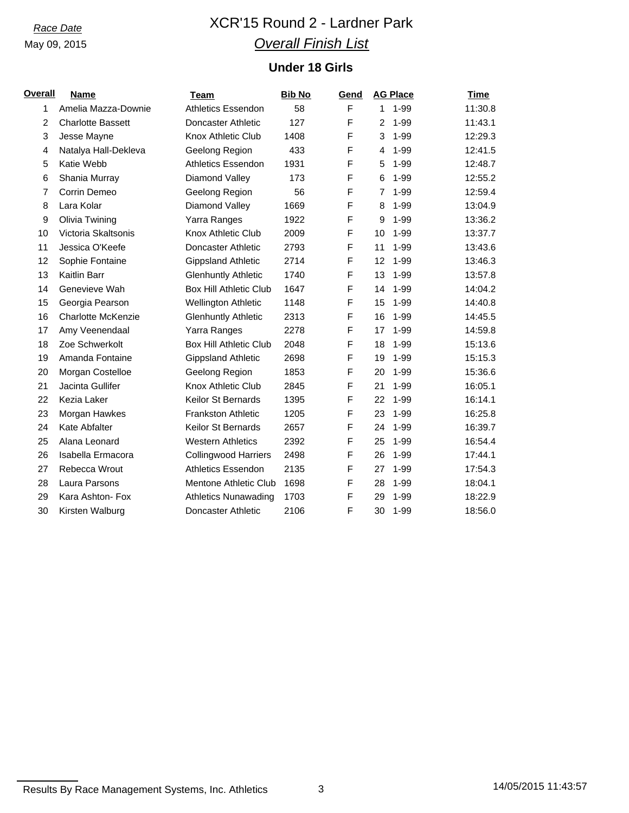# *Race Date* XCR'15 Round 2 - Lardner Park *Overall Finish List*

## **Under 18 Girls**

| <b>Overall</b> | <b>Name</b>               | Team                          | <b>Bib No</b> | Gend | <b>AG Place</b>            | Time    |
|----------------|---------------------------|-------------------------------|---------------|------|----------------------------|---------|
| 1              | Amelia Mazza-Downie       | <b>Athletics Essendon</b>     | 58            | F    | 1-99<br>$1 \quad$          | 11:30.8 |
| 2              | <b>Charlotte Bassett</b>  | Doncaster Athletic            | 127           | F    | $\overline{2}$<br>$1 - 99$ | 11:43.1 |
| 3              | Jesse Mayne               | Knox Athletic Club            | 1408          | F    | $1 - 99$<br>3              | 12:29.3 |
| 4              | Natalya Hall-Dekleva      | Geelong Region                | 433           | F    | $1 - 99$<br>4              | 12:41.5 |
| 5              | Katie Webb                | <b>Athletics Essendon</b>     | 1931          | F    | 1-99<br>5                  | 12:48.7 |
| 6              | Shania Murray             | Diamond Valley                | 173           | F    | $1 - 99$<br>6              | 12:55.2 |
| 7              | Corrin Demeo              | Geelong Region                | 56            | F    | $1 - 99$<br>7              | 12:59.4 |
| 8              | Lara Kolar                | Diamond Valley                | 1669          | F    | $1 - 99$<br>8              | 13:04.9 |
| 9              | Olivia Twining            | Yarra Ranges                  | 1922          | F    | 9<br>$1 - 99$              | 13:36.2 |
| 10             | Victoria Skaltsonis       | Knox Athletic Club            | 2009          | F    | 10<br>1-99                 | 13:37.7 |
| 11             | Jessica O'Keefe           | Doncaster Athletic            | 2793          | F    | $1 - 99$<br>11             | 13:43.6 |
| 12             | Sophie Fontaine           | <b>Gippsland Athletic</b>     | 2714          | F    | $1 - 99$<br>12             | 13:46.3 |
| 13             | Kaitlin Barr              | <b>Glenhuntly Athletic</b>    | 1740          | F    | $1 - 99$<br>13             | 13:57.8 |
| 14             | Genevieve Wah             | <b>Box Hill Athletic Club</b> | 1647          | F    | $1 - 99$<br>14             | 14:04.2 |
| 15             | Georgia Pearson           | <b>Wellington Athletic</b>    | 1148          | F    | 15<br>$1 - 99$             | 14:40.8 |
| 16             | <b>Charlotte McKenzie</b> | <b>Glenhuntly Athletic</b>    | 2313          | F    | $1 - 99$<br>16             | 14:45.5 |
| 17             | Amy Veenendaal            | Yarra Ranges                  | 2278          | F    | $1 - 99$<br>17             | 14:59.8 |
| 18             | Zoe Schwerkolt            | <b>Box Hill Athletic Club</b> | 2048          | F    | $1 - 99$<br>18             | 15:13.6 |
| 19             | Amanda Fontaine           | <b>Gippsland Athletic</b>     | 2698          | F    | 1-99<br>19                 | 15:15.3 |
| 20             | Morgan Costelloe          | Geelong Region                | 1853          | F    | $1 - 99$<br>20             | 15:36.6 |
| 21             | Jacinta Gullifer          | Knox Athletic Club            | 2845          | F    | 21<br>$1 - 99$             | 16:05.1 |
| 22             | Kezia Laker               | <b>Keilor St Bernards</b>     | 1395          | F    | $1 - 99$<br>22             | 16:14.1 |
| 23             | Morgan Hawkes             | <b>Frankston Athletic</b>     | 1205          | F    | 1-99<br>23                 | 16:25.8 |
| 24             | <b>Kate Abfalter</b>      | Keilor St Bernards            | 2657          | F    | 24<br>1-99                 | 16:39.7 |
| 25             | Alana Leonard             | <b>Western Athletics</b>      | 2392          | F    | $1 - 99$<br>25             | 16:54.4 |
| 26             | Isabella Ermacora         | <b>Collingwood Harriers</b>   | 2498          | F    | $1 - 99$<br>26             | 17:44.1 |
| 27             | Rebecca Wrout             | <b>Athletics Essendon</b>     | 2135          | F    | 27<br>$1 - 99$             | 17:54.3 |
| 28             | Laura Parsons             | Mentone Athletic Club         | 1698          | F    | $1 - 99$<br>28             | 18:04.1 |
| 29             | Kara Ashton- Fox          | <b>Athletics Nunawading</b>   | 1703          | F    | $1 - 99$<br>29             | 18:22.9 |
| 30             | Kirsten Walburg           | Doncaster Athletic            | 2106          | F    | 30<br>1-99                 | 18:56.0 |

Results By Race Management Systems, Inc. Athletics 3 14/05/2015 11:43:57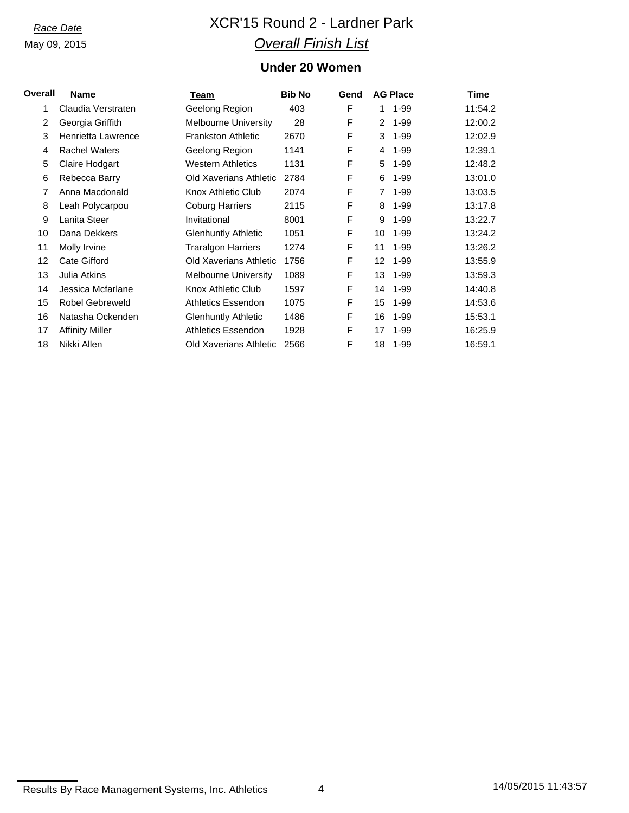# *Race Date* XCR'15 Round 2 - Lardner Park *Overall Finish List*

## **Under 20 Women**

| <u>Overall</u> | Name                   | Team                        | <b>Bib No</b> | Gend |                 | <b>AG Place</b> | Time    |
|----------------|------------------------|-----------------------------|---------------|------|-----------------|-----------------|---------|
| 1              | Claudia Verstraten     | Geelong Region              | 403           | F    | 1.              | $1 - 99$        | 11:54.2 |
| 2              | Georgia Griffith       | <b>Melbourne University</b> | 28            | F    | 2               | $1 - 99$        | 12:00.2 |
| 3              | Henrietta Lawrence     | <b>Frankston Athletic</b>   | 2670          | F    | 3               | $1 - 99$        | 12:02.9 |
| 4              | <b>Rachel Waters</b>   | Geelong Region              | 1141          | F    | 4               | $1 - 99$        | 12:39.1 |
| 5              | Claire Hodgart         | <b>Western Athletics</b>    | 1131          | F    | 5               | $1 - 99$        | 12:48.2 |
| 6              | Rebecca Barry          | Old Xaverians Athletic      | 2784          | F    | 6               | $1 - 99$        | 13:01.0 |
| 7              | Anna Macdonald         | Knox Athletic Club          | 2074          | F    | $\overline{7}$  | $1 - 99$        | 13:03.5 |
| 8              | Leah Polycarpou        | <b>Coburg Harriers</b>      | 2115          | F    | 8               | $1 - 99$        | 13:17.8 |
| 9              | Lanita Steer           | Invitational                | 8001          | F    | 9               | $1 - 99$        | 13:22.7 |
| 10             | Dana Dekkers           | <b>Glenhuntly Athletic</b>  | 1051          | F    | 10              | $1 - 99$        | 13:24.2 |
| 11             | Molly Irvine           | <b>Traralgon Harriers</b>   | 1274          | F    | 11              | $1 - 99$        | 13:26.2 |
| 12             | Cate Gifford           | Old Xaverians Athletic      | 1756          | F    | 12 <sup>2</sup> | $1 - 99$        | 13:55.9 |
| 13             | Julia Atkins           | <b>Melbourne University</b> | 1089          | F    | 13              | $1 - 99$        | 13:59.3 |
| 14             | Jessica Mcfarlane      | Knox Athletic Club          | 1597          | F    | 14              | $1 - 99$        | 14:40.8 |
| 15             | Robel Gebreweld        | Athletics Essendon          | 1075          | F    | 15              | $1 - 99$        | 14:53.6 |
| 16             | Natasha Ockenden       | <b>Glenhuntly Athletic</b>  | 1486          | F    | 16              | $1 - 99$        | 15:53.1 |
| 17             | <b>Affinity Miller</b> | <b>Athletics Essendon</b>   | 1928          | F    | 17              | $1 - 99$        | 16:25.9 |
| 18             | Nikki Allen            | Old Xaverians Athletic      | 2566          | F    | 18              | 1-99            | 16:59.1 |

Results By Race Management Systems, Inc. Athletics 4 14/05/2015 11:43:57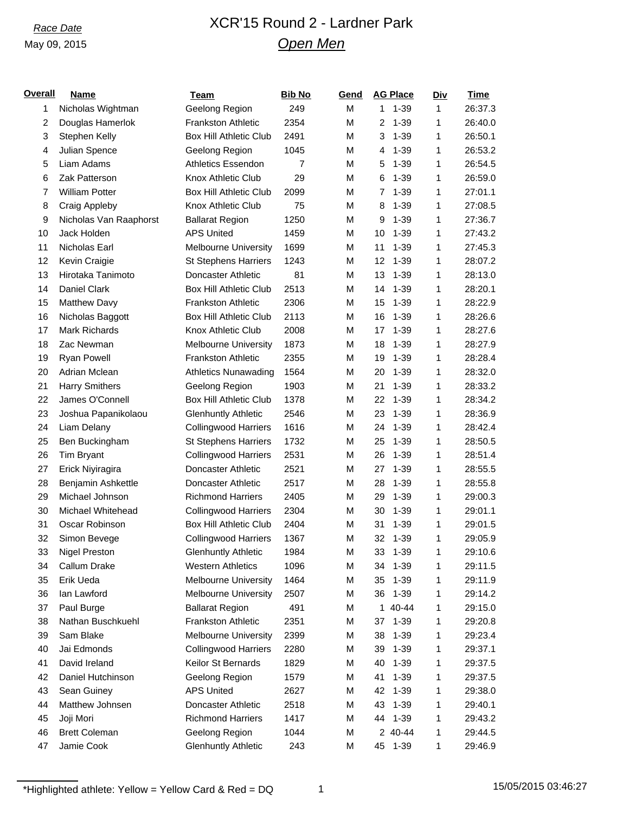## *Race Date* XCR'15 Round 2 - Lardner Park *Open Men*

| <u>Overall</u> | <b>Name</b>            | <b>Team</b>                   | <b>Bib No</b> | <b>Gend</b> | <b>AG Place</b>            | <u>Div</u> | <u>Time</u> |
|----------------|------------------------|-------------------------------|---------------|-------------|----------------------------|------------|-------------|
| 1              | Nicholas Wightman      | Geelong Region                | 249           | M           | $1 - 39$<br>1              | 1          | 26:37.3     |
| $\overline{c}$ | Douglas Hamerlok       | <b>Frankston Athletic</b>     | 2354          | M           | $\overline{2}$<br>$1 - 39$ | 1          | 26:40.0     |
| 3              | Stephen Kelly          | <b>Box Hill Athletic Club</b> | 2491          | M           | $1 - 39$<br>3              | 1          | 26:50.1     |
| 4              | Julian Spence          | Geelong Region                | 1045          | M           | $1 - 39$<br>4              | 1          | 26:53.2     |
| 5              | Liam Adams             | <b>Athletics Essendon</b>     | 7             | M           | 5<br>$1 - 39$              | 1          | 26:54.5     |
| 6              | Zak Patterson          | Knox Athletic Club            | 29            | M           | $1 - 39$<br>6              | 1          | 26:59.0     |
| $\overline{7}$ | <b>William Potter</b>  | <b>Box Hill Athletic Club</b> | 2099          | M           | $1 - 39$<br>7              | 1          | 27:01.1     |
| 8              | <b>Craig Appleby</b>   | Knox Athletic Club            | 75            | M           | $1 - 39$<br>8              | 1          | 27:08.5     |
| 9              | Nicholas Van Raaphorst | <b>Ballarat Region</b>        | 1250          | M           | 9<br>$1 - 39$              | 1          | 27:36.7     |
| 10             | Jack Holden            | <b>APS United</b>             | 1459          | M           | 10<br>$1 - 39$             | 1          | 27:43.2     |
| 11             | Nicholas Earl          | <b>Melbourne University</b>   | 1699          | M           | 11<br>$1 - 39$             | 1          | 27:45.3     |
| 12             | Kevin Craigie          | <b>St Stephens Harriers</b>   | 1243          | M           | 12<br>$1 - 39$             | 1          | 28:07.2     |
| 13             | Hirotaka Tanimoto      | Doncaster Athletic            | 81            | M           | 13<br>$1 - 39$             | 1          | 28:13.0     |
| 14             | Daniel Clark           | <b>Box Hill Athletic Club</b> | 2513          | M           | $1 - 39$<br>14             | 1          | 28:20.1     |
| 15             | <b>Matthew Davy</b>    | <b>Frankston Athletic</b>     | 2306          | M           | $1 - 39$<br>15             | 1          | 28:22.9     |
| 16             | Nicholas Baggott       | <b>Box Hill Athletic Club</b> | 2113          | M           | 16<br>$1 - 39$             | 1          | 28:26.6     |
| 17             | Mark Richards          | Knox Athletic Club            | 2008          | M           | $1 - 39$<br>17             | 1          | 28:27.6     |
| 18             | Zac Newman             | <b>Melbourne University</b>   | 1873          | M           | 18<br>$1 - 39$             | 1          | 28:27.9     |
| 19             | Ryan Powell            | Frankston Athletic            | 2355          | M           | $1 - 39$<br>19             | 1          | 28:28.4     |
| 20             | Adrian Mclean          | <b>Athletics Nunawading</b>   | 1564          | M           | $1 - 39$<br>20             | 1          | 28:32.0     |
| 21             | <b>Harry Smithers</b>  | Geelong Region                | 1903          | M           | $1 - 39$<br>21             | 1          | 28:33.2     |
| 22             | James O'Connell        | <b>Box Hill Athletic Club</b> | 1378          | M           | 22<br>$1 - 39$             | 1          | 28:34.2     |
| 23             | Joshua Papanikolaou    | <b>Glenhuntly Athletic</b>    | 2546          | M           | 23<br>$1 - 39$             | 1          | 28:36.9     |
| 24             | Liam Delany            | <b>Collingwood Harriers</b>   | 1616          | M           | $1 - 39$<br>24             | 1          | 28:42.4     |
| 25             | Ben Buckingham         | <b>St Stephens Harriers</b>   | 1732          | M           | 25<br>$1 - 39$             | 1          | 28:50.5     |
| 26             | Tim Bryant             | <b>Collingwood Harriers</b>   | 2531          | M           | 26<br>$1 - 39$             | 1          | 28:51.4     |
| 27             | Erick Niyiragira       | Doncaster Athletic            | 2521          | M           | 27<br>$1 - 39$             | 1          | 28:55.5     |
| 28             | Benjamin Ashkettle     | Doncaster Athletic            | 2517          | M           | 28<br>$1 - 39$             | 1          | 28:55.8     |
| 29             | Michael Johnson        | <b>Richmond Harriers</b>      | 2405          | M           | $1 - 39$<br>29             | 1          | 29:00.3     |
| 30             | Michael Whitehead      | <b>Collingwood Harriers</b>   | 2304          | M           | $1 - 39$<br>30             | 1          | 29:01.1     |
| 31             | Oscar Robinson         | <b>Box Hill Athletic Club</b> | 2404          | M           | $1 - 39$<br>31             | 1          | 29:01.5     |
| 32             | Simon Bevege           | <b>Collingwood Harriers</b>   | 1367          | M           | 32<br>$1 - 39$             | 1          | 29:05.9     |
| 33             | <b>Nigel Preston</b>   | <b>Glenhuntly Athletic</b>    | 1984          | M           | 33<br>$1 - 39$             | 1          | 29:10.6     |
| 34             | Callum Drake           | <b>Western Athletics</b>      | 1096          | M           | $1 - 39$<br>34             | 1          | 29:11.5     |
| 35             | Erik Ueda              | Melbourne University          | 1464          | M           | 35<br>$1 - 39$             | 1          | 29:11.9     |
| 36             | lan Lawford            | <b>Melbourne University</b>   | 2507          | M           | $1 - 39$<br>36             | 1          | 29:14.2     |
| 37             | Paul Burge             | <b>Ballarat Region</b>        | 491           | M           | 1 40-44                    | 1          | 29:15.0     |
| 38             | Nathan Buschkuehl      | Frankston Athletic            | 2351          | M           | $1 - 39$<br>37             | 1          | 29:20.8     |
| 39             | Sam Blake              | <b>Melbourne University</b>   | 2399          | М           | $1 - 39$<br>38             | 1          | 29:23.4     |
| 40             | Jai Edmonds            | <b>Collingwood Harriers</b>   | 2280          | М           | $1 - 39$<br>39             | 1          | 29:37.1     |
| 41             | David Ireland          | Keilor St Bernards            | 1829          | M           | 40<br>$1 - 39$             | 1          | 29:37.5     |
| 42             | Daniel Hutchinson      | Geelong Region                | 1579          | M           | 41<br>$1 - 39$             | 1          | 29:37.5     |
| 43             | Sean Guiney            | <b>APS United</b>             | 2627          | М           | 42<br>$1 - 39$             | 1          | 29:38.0     |
| 44             | Matthew Johnsen        | Doncaster Athletic            | 2518          | M           | 43<br>$1 - 39$             | 1          | 29:40.1     |
| 45             | Joji Mori              | <b>Richmond Harriers</b>      | 1417          | M           | $1 - 39$<br>44             | 1          | 29:43.2     |
| 46             | <b>Brett Coleman</b>   | Geelong Region                | 1044          | M           | 2 40-44                    | 1          | 29:44.5     |
| 47             | Jamie Cook             | <b>Glenhuntly Athletic</b>    | 243           | М           | $1 - 39$<br>45             | 1          | 29:46.9     |
|                |                        |                               |               |             |                            |            |             |

 $*$ Highlighted athlete: Yellow = Yellow Card & Red = DQ 1 1 15/05/2015 03:46:27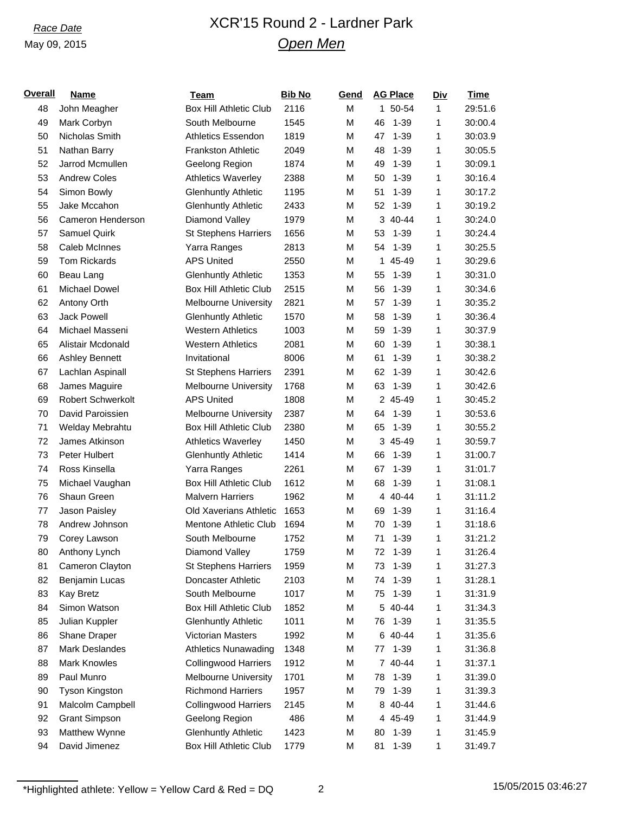# *Race Date* XCR'15 Round 2 - Lardner Park *Open Men*

| <u>Overall</u> | <b>Name</b>              | <b>Team</b>                   | <b>Bib No</b> | Gend | <b>AG Place</b> | <u>Div</u>   | <b>Time</b> |
|----------------|--------------------------|-------------------------------|---------------|------|-----------------|--------------|-------------|
| 48             | John Meagher             | <b>Box Hill Athletic Club</b> | 2116          | M    | 1 50-54         | $\mathbf{1}$ | 29:51.6     |
| 49             | Mark Corbyn              | South Melbourne               | 1545          | M    | 46<br>$1 - 39$  | 1            | 30:00.4     |
| 50             | Nicholas Smith           | <b>Athletics Essendon</b>     | 1819          | M    | 47<br>$1 - 39$  | 1            | 30:03.9     |
| 51             | Nathan Barry             | <b>Frankston Athletic</b>     | 2049          | M    | 48<br>$1 - 39$  | 1            | 30:05.5     |
| 52             | Jarrod Mcmullen          | Geelong Region                | 1874          | M    | $1 - 39$<br>49  | 1            | 30:09.1     |
| 53             | <b>Andrew Coles</b>      | <b>Athletics Waverley</b>     | 2388          | M    | $1 - 39$<br>50  | 1            | 30:16.4     |
| 54             | Simon Bowly              | <b>Glenhuntly Athletic</b>    | 1195          | M    | $1 - 39$<br>51  | 1            | 30:17.2     |
| 55             | Jake Mccahon             | <b>Glenhuntly Athletic</b>    | 2433          | M    | $1 - 39$<br>52  | 1            | 30:19.2     |
| 56             | Cameron Henderson        | Diamond Valley                | 1979          | М    | 3 40-44         | 1            | 30:24.0     |
| 57             | Samuel Quirk             | <b>St Stephens Harriers</b>   | 1656          | M    | 53<br>$1 - 39$  | 1            | 30:24.4     |
| 58             | Caleb McInnes            | Yarra Ranges                  | 2813          | M    | $1 - 39$<br>54  | 1            | 30:25.5     |
| 59             | Tom Rickards             | <b>APS United</b>             | 2550          | M    | 1 45-49         | 1            | 30:29.6     |
| 60             | Beau Lang                | <b>Glenhuntly Athletic</b>    | 1353          | M    | $1 - 39$<br>55  | 1            | 30:31.0     |
| 61             | <b>Michael Dowel</b>     | <b>Box Hill Athletic Club</b> | 2515          | M    | 56<br>$1 - 39$  | 1            | 30:34.6     |
| 62             | Antony Orth              | <b>Melbourne University</b>   | 2821          | M    | $1 - 39$<br>57  | 1            | 30:35.2     |
| 63             | <b>Jack Powell</b>       | <b>Glenhuntly Athletic</b>    | 1570          | M    | 58<br>$1 - 39$  | 1            | 30:36.4     |
| 64             | Michael Masseni          | <b>Western Athletics</b>      | 1003          | М    | $1 - 39$<br>59  | 1            | 30:37.9     |
| 65             | Alistair Mcdonald        | <b>Western Athletics</b>      | 2081          | M    | 60<br>$1 - 39$  | 1            | 30:38.1     |
| 66             | <b>Ashley Bennett</b>    | Invitational                  | 8006          | M    | 61<br>$1 - 39$  | 1            | 30:38.2     |
| 67             | Lachlan Aspinall         | <b>St Stephens Harriers</b>   | 2391          | M    | $1 - 39$<br>62  | 1            | 30:42.6     |
| 68             | James Maguire            | Melbourne University          | 1768          | M    | $1 - 39$<br>63  | 1            | 30:42.6     |
| 69             | <b>Robert Schwerkolt</b> | <b>APS United</b>             | 1808          | M    | 2 45-49         | 1            | 30:45.2     |
| 70             | David Paroissien         | <b>Melbourne University</b>   | 2387          | M    | $1 - 39$<br>64  | 1            | 30:53.6     |
| 71             | Welday Mebrahtu          | <b>Box Hill Athletic Club</b> | 2380          | M    | $1 - 39$<br>65  | 1            | 30:55.2     |
| 72             | James Atkinson           | <b>Athletics Waverley</b>     | 1450          | M    | 3 45-49         | 1            | 30:59.7     |
| 73             | Peter Hulbert            | <b>Glenhuntly Athletic</b>    | 1414          | M    | 66<br>$1 - 39$  | 1            | 31:00.7     |
| 74             | Ross Kinsella            | Yarra Ranges                  | 2261          | M    | 67<br>$1 - 39$  | 1            | 31:01.7     |
| 75             | Michael Vaughan          | <b>Box Hill Athletic Club</b> | 1612          | M    | $1 - 39$<br>68  | 1            | 31:08.1     |
| 76             | Shaun Green              | <b>Malvern Harriers</b>       | 1962          | M    | 4 40-44         | 1            | 31:11.2     |
| 77             | Jason Paisley            | Old Xaverians Athletic        | 1653          | M    | $1 - 39$<br>69  | 1            | 31:16.4     |
| 78             | Andrew Johnson           | Mentone Athletic Club         | 1694          | M    | $1 - 39$<br>70  | 1            | 31:18.6     |
| 79             | Corey Lawson             | South Melbourne               | 1752          | M    | $1 - 39$<br>71  | 1            | 31:21.2     |
| 80             | Anthony Lynch            | Diamond Valley                | 1759          | M    | $1 - 39$<br>72  | 1            | 31:26.4     |
| 81             | Cameron Clayton          | <b>St Stephens Harriers</b>   | 1959          | M    | $1 - 39$<br>73  | 1            | 31:27.3     |
| 82             | Benjamin Lucas           | Doncaster Athletic            | 2103          | M    | $1 - 39$<br>74  | 1            | 31:28.1     |
| 83             | <b>Kay Bretz</b>         | South Melbourne               | 1017          | M    | $1 - 39$<br>75  | 1            | 31:31.9     |
| 84             | Simon Watson             | <b>Box Hill Athletic Club</b> | 1852          | M    | 5 40-44         | 1            | 31:34.3     |
| 85             | Julian Kuppler           | <b>Glenhuntly Athletic</b>    | 1011          | M    | $1 - 39$<br>76  | 1            | 31:35.5     |
| 86             | Shane Draper             | <b>Victorian Masters</b>      | 1992          | M    | 6 40-44         | 1            | 31:35.6     |
| 87             | Mark Deslandes           | <b>Athletics Nunawading</b>   | 1348          | M    | $1 - 39$<br>77  | 1            | 31:36.8     |
| 88             | <b>Mark Knowles</b>      | <b>Collingwood Harriers</b>   | 1912          | M    | 7 40-44         | 1            | 31:37.1     |
| 89             | Paul Munro               | Melbourne University          | 1701          | M    | 78<br>$1 - 39$  | 1            | 31:39.0     |
| 90             | Tyson Kingston           | <b>Richmond Harriers</b>      | 1957          | M    | $1 - 39$<br>79  | 1            | 31:39.3     |
| 91             | Malcolm Campbell         | <b>Collingwood Harriers</b>   | 2145          | M    | 40-44<br>8      | 1            | 31:44.6     |
| 92             | <b>Grant Simpson</b>     | Geelong Region                | 486           | M    | 4 45-49         | 1            | 31:44.9     |
| 93             | Matthew Wynne            | <b>Glenhuntly Athletic</b>    | 1423          | M    | $1 - 39$<br>80  | 1            | 31:45.9     |
| 94             | David Jimenez            | <b>Box Hill Athletic Club</b> | 1779          | M    | 81<br>$1 - 39$  | 1            | 31:49.7     |
|                |                          |                               |               |      |                 |              |             |

 $*$ Highlighted athlete: Yellow = Yellow Card & Red = DQ 2 15/05/2015 03:46:27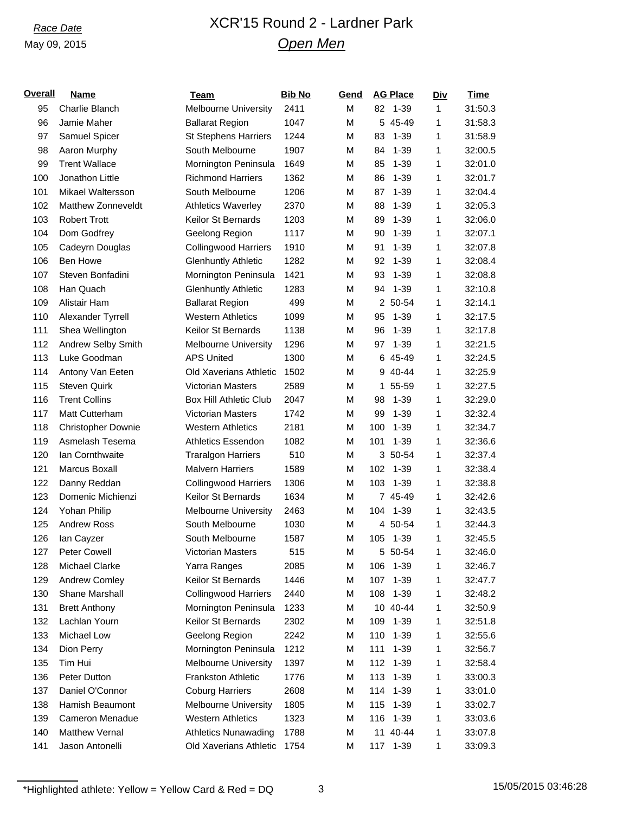## *Race Date* XCR'15 Round 2 - Lardner Park *Open Men*

| <b>Overall</b> | <b>Name</b>           | <b>Team</b>                   | <b>Bib No</b> | Gend | <b>AG Place</b> | <u>Div</u> | <b>Time</b> |
|----------------|-----------------------|-------------------------------|---------------|------|-----------------|------------|-------------|
| 95             | Charlie Blanch        | <b>Melbourne University</b>   | 2411          | M    | 82<br>1-39      | 1          | 31:50.3     |
| 96             | Jamie Maher           | <b>Ballarat Region</b>        | 1047          | M    | 5 45-49         | 1          | 31:58.3     |
| 97             | Samuel Spicer         | <b>St Stephens Harriers</b>   | 1244          | M    | 83<br>$1 - 39$  | 1          | 31:58.9     |
| 98             | Aaron Murphy          | South Melbourne               | 1907          | M    | $1 - 39$<br>84  | 1          | 32:00.5     |
| 99             | <b>Trent Wallace</b>  | Mornington Peninsula          | 1649          | M    | 85<br>$1 - 39$  | 1          | 32:01.0     |
| 100            | Jonathon Little       | <b>Richmond Harriers</b>      | 1362          | M    | 86<br>$1 - 39$  | 1          | 32:01.7     |
| 101            | Mikael Waltersson     | South Melbourne               | 1206          | M    | 87<br>$1 - 39$  | 1          | 32:04.4     |
| 102            | Matthew Zonneveldt    | <b>Athletics Waverley</b>     | 2370          | M    | 88<br>$1 - 39$  | 1          | 32:05.3     |
| 103            | <b>Robert Trott</b>   | Keilor St Bernards            | 1203          | M    | $1 - 39$<br>89  | 1          | 32:06.0     |
| 104            | Dom Godfrey           | Geelong Region                | 1117          | M    | 90<br>$1 - 39$  | 1          | 32:07.1     |
| 105            | Cadeyrn Douglas       | <b>Collingwood Harriers</b>   | 1910          | M    | 91<br>$1 - 39$  | 1          | 32:07.8     |
| 106            | Ben Howe              | <b>Glenhuntly Athletic</b>    | 1282          | M    | 92<br>$1 - 39$  | 1          | 32:08.4     |
| 107            | Steven Bonfadini      | Mornington Peninsula          | 1421          | M    | 93<br>$1 - 39$  | 1          | 32:08.8     |
| 108            | Han Quach             | <b>Glenhuntly Athletic</b>    | 1283          | M    | $1 - 39$<br>94  | 1          | 32:10.8     |
| 109            | Alistair Ham          | <b>Ballarat Region</b>        | 499           | M    | 2 50-54         | 1          | 32:14.1     |
| 110            | Alexander Tyrrell     | <b>Western Athletics</b>      | 1099          | M    | 95<br>$1 - 39$  | 1          | 32:17.5     |
| 111            | Shea Wellington       | Keilor St Bernards            | 1138          | M    | 96<br>$1 - 39$  | 1          | 32:17.8     |
| 112            | Andrew Selby Smith    | <b>Melbourne University</b>   | 1296          | M    | 97<br>$1 - 39$  | 1          | 32:21.5     |
| 113            | Luke Goodman          | <b>APS United</b>             | 1300          | M    | 6 45-49         | 1          | 32:24.5     |
| 114            | Antony Van Eeten      | <b>Old Xaverians Athletic</b> | 1502          | M    | 40-44<br>9      | 1          | 32:25.9     |
| 115            | <b>Steven Quirk</b>   | <b>Victorian Masters</b>      | 2589          | M    | 55-59<br>1.     | 1          | 32:27.5     |
| 116            | <b>Trent Collins</b>  | <b>Box Hill Athletic Club</b> | 2047          | M    | $1 - 39$<br>98  | 1          | 32:29.0     |
| 117            | Matt Cutterham        | Victorian Masters             | 1742          | M    | $1 - 39$<br>99  | 1          | 32:32.4     |
| 118            | Christopher Downie    | <b>Western Athletics</b>      | 2181          | M    | 100<br>$1 - 39$ | 1          | 32:34.7     |
| 119            | Asmelash Tesema       | <b>Athletics Essendon</b>     | 1082          | M    | $1 - 39$<br>101 | 1          | 32:36.6     |
| 120            | Ian Cornthwaite       | <b>Traralgon Harriers</b>     | 510           | M    | 3 50-54         | 1          | 32:37.4     |
| 121            | Marcus Boxall         | <b>Malvern Harriers</b>       | 1589          | М    | 102<br>1-39     | 1          | 32:38.4     |
| 122            | Danny Reddan          | <b>Collingwood Harriers</b>   | 1306          | M    | 103<br>$1 - 39$ | 1          | 32:38.8     |
| 123            | Domenic Michienzi     | Keilor St Bernards            | 1634          | M    | 7 45-49         | 1          | 32:42.6     |
| 124            | Yohan Philip          | <b>Melbourne University</b>   | 2463          | M    | 104<br>$1 - 39$ | 1          | 32:43.5     |
| 125            | <b>Andrew Ross</b>    | South Melbourne               | 1030          | M    | 4 50-54         | 1          | 32:44.3     |
| 126            | lan Cayzer            | South Melbourne               | 1587          | M    | 105<br>1-39     | 1          | 32:45.5     |
| 127            | Peter Cowell          | Victorian Masters             | 515           | М    | 5 50-54         | 1          | 32:46.0     |
| 128            | Michael Clarke        | Yarra Ranges                  | 2085          | M    | $1 - 39$<br>106 | 1          | 32:46.7     |
| 129            | Andrew Comley         | Keilor St Bernards            | 1446          | M    | 107<br>$1 - 39$ | 1          | 32:47.7     |
| 130            | Shane Marshall        | <b>Collingwood Harriers</b>   | 2440          | M    | $1 - 39$<br>108 | 1          | 32:48.2     |
| 131            | <b>Brett Anthony</b>  | Mornington Peninsula          | 1233          | М    | 10 40-44        | 1          | 32:50.9     |
| 132            | Lachlan Yourn         | Keilor St Bernards            | 2302          | М    | 109<br>$1 - 39$ | 1          | 32:51.8     |
| 133            | Michael Low           | Geelong Region                | 2242          | М    | 110<br>$1 - 39$ | 1          | 32:55.6     |
| 134            | Dion Perry            | Mornington Peninsula          | 1212          | M    | $1 - 39$<br>111 | 1          | 32:56.7     |
| 135            | Tim Hui               | <b>Melbourne University</b>   | 1397          | М    | 112<br>$1 - 39$ | 1          | 32:58.4     |
| 136            | Peter Dutton          | <b>Frankston Athletic</b>     | 1776          | M    | 113<br>$1 - 39$ | 1          | 33:00.3     |
| 137            | Daniel O'Connor       | <b>Coburg Harriers</b>        | 2608          | М    | 114<br>$1 - 39$ | 1          | 33:01.0     |
| 138            | Hamish Beaumont       | <b>Melbourne University</b>   | 1805          | М    | $1 - 39$<br>115 | 1          | 33:02.7     |
| 139            | Cameron Menadue       | <b>Western Athletics</b>      | 1323          | M    | $1 - 39$<br>116 | 1          | 33:03.6     |
| 140            | <b>Matthew Vernal</b> | <b>Athletics Nunawading</b>   | 1788          | М    | 11 40-44        | 1          | 33:07.8     |
| 141            | Jason Antonelli       | Old Xaverians Athletic        | 1754          | М    | $1 - 39$<br>117 | 1          | 33:09.3     |
|                |                       |                               |               |      |                 |            |             |

 $*$ Highlighted athlete: Yellow = Yellow Card & Red = DQ 3 15/05/2015 03:46:28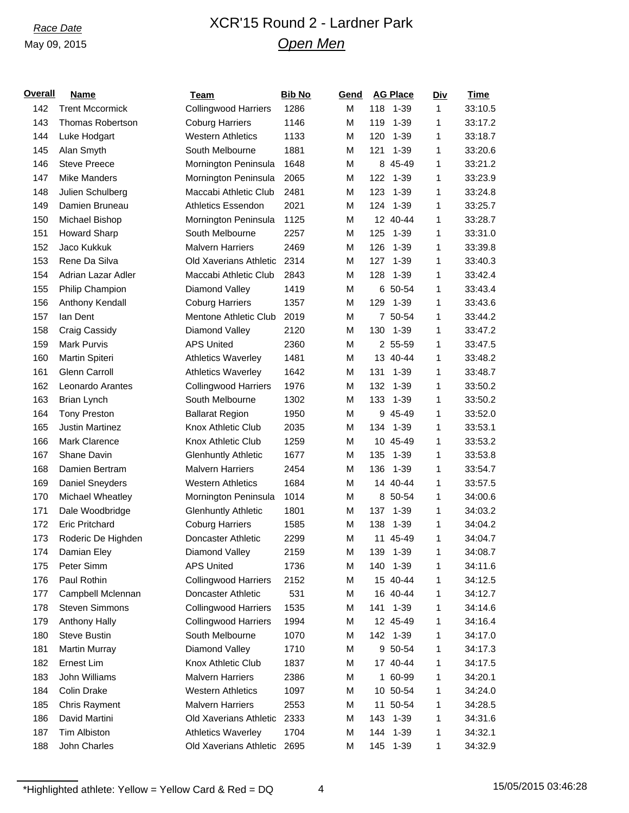## *Race Date* XCR'15 Round 2 - Lardner Park *Open Men*

| <b>Overall</b> | <b>Name</b>             | <b>Team</b>                 | <b>Bib No</b> | Gend | <b>AG Place</b> | <u>Div</u> | <b>Time</b> |
|----------------|-------------------------|-----------------------------|---------------|------|-----------------|------------|-------------|
| 142            | <b>Trent Mccormick</b>  | <b>Collingwood Harriers</b> | 1286          | M    | 118<br>$1 - 39$ | 1          | 33:10.5     |
| 143            | <b>Thomas Robertson</b> | <b>Coburg Harriers</b>      | 1146          | M    | 119<br>$1 - 39$ | 1          | 33:17.2     |
| 144            | Luke Hodgart            | <b>Western Athletics</b>    | 1133          | M    | 120<br>$1 - 39$ | 1          | 33:18.7     |
| 145            | Alan Smyth              | South Melbourne             | 1881          | M    | $1 - 39$<br>121 | 1          | 33:20.6     |
| 146            | <b>Steve Preece</b>     | Mornington Peninsula        | 1648          | М    | 8 45-49         | 1          | 33:21.2     |
| 147            | <b>Mike Manders</b>     | Mornington Peninsula        | 2065          | М    | $1 - 39$<br>122 | 1          | 33:23.9     |
| 148            | Julien Schulberg        | Maccabi Athletic Club       | 2481          | М    | $1 - 39$<br>123 | 1          | 33:24.8     |
| 149            | Damien Bruneau          | Athletics Essendon          | 2021          | M    | $1 - 39$<br>124 | 1          | 33:25.7     |
| 150            | Michael Bishop          | Mornington Peninsula        | 1125          | M    | 12 40-44        | 1          | 33:28.7     |
| 151            | <b>Howard Sharp</b>     | South Melbourne             | 2257          | М    | 125<br>$1 - 39$ | 1          | 33:31.0     |
| 152            | Jaco Kukkuk             | <b>Malvern Harriers</b>     | 2469          | M    | 126<br>$1 - 39$ | 1          | 33:39.8     |
| 153            | Rene Da Silva           | Old Xaverians Athletic      | 2314          | М    | $1 - 39$<br>127 | 1          | 33:40.3     |
| 154            | Adrian Lazar Adler      | Maccabi Athletic Club       | 2843          | M    | 128<br>$1 - 39$ | 1          | 33:42.4     |
| 155            | Philip Champion         | Diamond Valley              | 1419          | M    | 6 50-54         | 1          | 33:43.4     |
| 156            | Anthony Kendall         | <b>Coburg Harriers</b>      | 1357          | М    | $1 - 39$<br>129 | 1          | 33:43.6     |
| 157            | lan Dent                | Mentone Athletic Club       | 2019          | M    | 7 50-54         | 1          | 33:44.2     |
| 158            | Craig Cassidy           | Diamond Valley              | 2120          | M    | $1 - 39$<br>130 | 1          | 33:47.2     |
| 159            | <b>Mark Purvis</b>      | <b>APS United</b>           | 2360          | M    | 2 55-59         | 1          | 33:47.5     |
| 160            | Martin Spiteri          | <b>Athletics Waverley</b>   | 1481          | М    | 13 40-44        | 1          | 33:48.2     |
| 161            | Glenn Carroll           | <b>Athletics Waverley</b>   | 1642          | M    | $1 - 39$<br>131 | 1          | 33:48.7     |
| 162            | Leonardo Arantes        | <b>Collingwood Harriers</b> | 1976          | М    | 132<br>$1 - 39$ | 1          | 33:50.2     |
| 163            | <b>Brian Lynch</b>      | South Melbourne             | 1302          | M    | 133<br>$1 - 39$ | 1          | 33:50.2     |
| 164            | <b>Tony Preston</b>     | <b>Ballarat Region</b>      | 1950          | М    | 9 45-49         | 1          | 33:52.0     |
| 165            | <b>Justin Martinez</b>  | Knox Athletic Club          | 2035          | M    | $1 - 39$<br>134 | 1          | 33:53.1     |
| 166            | <b>Mark Clarence</b>    | Knox Athletic Club          | 1259          | M    | 10 45-49        | 1          | 33:53.2     |
| 167            | Shane Davin             | <b>Glenhuntly Athletic</b>  | 1677          | M    | 135<br>$1 - 39$ | 1          | 33:53.8     |
| 168            | Damien Bertram          | <b>Malvern Harriers</b>     | 2454          | M    | 136<br>$1 - 39$ | 1          | 33:54.7     |
| 169            | Daniel Sneyders         | <b>Western Athletics</b>    | 1684          | M    | 14 40-44        | 1          | 33:57.5     |
| 170            | Michael Wheatley        | Mornington Peninsula        | 1014          | M    | 8 50-54         | 1          | 34:00.6     |
| 171            | Dale Woodbridge         | <b>Glenhuntly Athletic</b>  | 1801          | M    | $1 - 39$<br>137 | 1          | 34:03.2     |
| 172            | <b>Eric Pritchard</b>   | <b>Coburg Harriers</b>      | 1585          | M    | $1 - 39$<br>138 | 1          | 34:04.2     |
| 173            | Roderic De Highden      | Doncaster Athletic          | 2299          | M    | 11 45-49        | 1          | 34:04.7     |
| 174            | Damian Eley             | Diamond Valley              | 2159          | M    | 139<br>$1 - 39$ | 1          | 34:08.7     |
| 175            | Peter Simm              | <b>APS United</b>           | 1736          | М    | 140<br>$1 - 39$ | 1          | 34:11.6     |
| 176            | Paul Rothin             | <b>Collingwood Harriers</b> | 2152          | М    | 15 40-44        | 1          | 34:12.5     |
| 177            | Campbell Mclennan       | Doncaster Athletic          | 531           | М    | 16 40-44        | 1          | 34:12.7     |
| 178            | <b>Steven Simmons</b>   | <b>Collingwood Harriers</b> | 1535          | М    | 141<br>$1 - 39$ | 1          | 34:14.6     |
| 179            | Anthony Hally           | <b>Collingwood Harriers</b> | 1994          | М    | 12 45-49        | 1          | 34:16.4     |
| 180            | <b>Steve Bustin</b>     | South Melbourne             | 1070          | М    | 142 1-39        | 1          | 34:17.0     |
| 181            | <b>Martin Murray</b>    | Diamond Valley              | 1710          | М    | 9 50-54         | 1          | 34:17.3     |
| 182            | Ernest Lim              | Knox Athletic Club          | 1837          | М    | 17 40-44        | 1          | 34:17.5     |
| 183            | John Williams           | <b>Malvern Harriers</b>     | 2386          | М    | 1 60-99         | 1          | 34:20.1     |
| 184            | Colin Drake             | <b>Western Athletics</b>    | 1097          | М    | 10 50-54        | 1          | 34:24.0     |
| 185            | <b>Chris Rayment</b>    | <b>Malvern Harriers</b>     | 2553          | М    | 11 50-54        | 1          | 34:28.5     |
| 186            | David Martini           | Old Xaverians Athletic      | 2333          | М    | 143<br>$1 - 39$ | 1          | 34:31.6     |
| 187            | <b>Tim Albiston</b>     | <b>Athletics Waverley</b>   | 1704          | М    | 144<br>$1 - 39$ | 1          | 34:32.1     |
| 188            | John Charles            | Old Xaverians Athletic      | 2695          | М    | 145<br>$1 - 39$ | 1          | 34:32.9     |
|                |                         |                             |               |      |                 |            |             |

 $*$ Highlighted athlete: Yellow = Yellow Card & Red = DQ  $*$  4 15/05/2015 03:46:28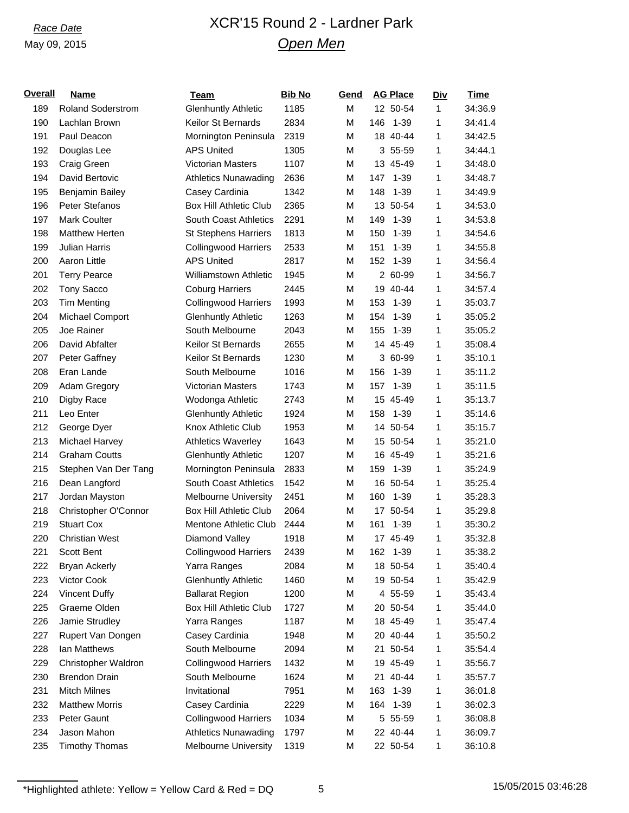## *Race Date* XCR'15 Round 2 - Lardner Park *Open Men*

| <b>Overall</b> | <b>Name</b>              | <b>Team</b>                   | <b>Bib No</b> | Gend | <b>AG Place</b> | <u>Div</u>   | <b>Time</b> |
|----------------|--------------------------|-------------------------------|---------------|------|-----------------|--------------|-------------|
| 189            | <b>Roland Soderstrom</b> | <b>Glenhuntly Athletic</b>    | 1185          | M    | 12 50-54        | $\mathbf{1}$ | 34:36.9     |
| 190            | Lachlan Brown            | Keilor St Bernards            | 2834          | M    | 146<br>$1 - 39$ | 1            | 34:41.4     |
| 191            | Paul Deacon              | Mornington Peninsula          | 2319          | M    | 18 40-44        | 1            | 34:42.5     |
| 192            | Douglas Lee              | <b>APS United</b>             | 1305          | M    | 3 55-59         | 1            | 34:44.1     |
| 193            | Craig Green              | <b>Victorian Masters</b>      | 1107          | M    | 13 45-49        | 1            | 34:48.0     |
| 194            | David Bertovic           | <b>Athletics Nunawading</b>   | 2636          | M    | 147<br>$1 - 39$ | 1            | 34:48.7     |
| 195            | Benjamin Bailey          | Casey Cardinia                | 1342          | M    | 148<br>$1 - 39$ | 1            | 34:49.9     |
| 196            | Peter Stefanos           | <b>Box Hill Athletic Club</b> | 2365          | M    | 13 50-54        | 1            | 34:53.0     |
| 197            | <b>Mark Coulter</b>      | South Coast Athletics         | 2291          | M    | $1 - 39$<br>149 | 1            | 34:53.8     |
| 198            | <b>Matthew Herten</b>    | <b>St Stephens Harriers</b>   | 1813          | M    | $1 - 39$<br>150 | 1            | 34:54.6     |
| 199            | <b>Julian Harris</b>     | <b>Collingwood Harriers</b>   | 2533          | M    | $1 - 39$<br>151 | 1            | 34:55.8     |
| 200            | Aaron Little             | <b>APS United</b>             | 2817          | M    | $1 - 39$<br>152 | 1            | 34:56.4     |
| 201            | <b>Terry Pearce</b>      | <b>Williamstown Athletic</b>  | 1945          | M    | 2 60-99         | 1            | 34:56.7     |
| 202            | Tony Sacco               | <b>Coburg Harriers</b>        | 2445          | M    | 19 40-44        | 1            | 34:57.4     |
| 203            | <b>Tim Menting</b>       | <b>Collingwood Harriers</b>   | 1993          | M    | $1 - 39$<br>153 | 1            | 35:03.7     |
| 204            | Michael Comport          | <b>Glenhuntly Athletic</b>    | 1263          | M    | $1 - 39$<br>154 | 1            | 35:05.2     |
| 205            | Joe Rainer               | South Melbourne               | 2043          | M    | 155<br>$1 - 39$ | 1            | 35:05.2     |
| 206            | David Abfalter           | Keilor St Bernards            | 2655          | M    | 14 45-49        | 1            | 35:08.4     |
| 207            | Peter Gaffney            | Keilor St Bernards            | 1230          | M    | 3 60-99         | 1            | 35:10.1     |
| 208            | Eran Lande               | South Melbourne               | 1016          | M    | 156<br>$1 - 39$ | 1            | 35:11.2     |
| 209            | Adam Gregory             | Victorian Masters             | 1743          | M    | 157<br>$1 - 39$ | 1            | 35:11.5     |
| 210            | Digby Race               | Wodonga Athletic              | 2743          | M    | 15 45-49        | 1            | 35:13.7     |
| 211            | Leo Enter                | <b>Glenhuntly Athletic</b>    | 1924          | M    | 158<br>1-39     | 1            | 35:14.6     |
| 212            | George Dyer              | Knox Athletic Club            | 1953          | M    | 14 50-54        | 1            | 35:15.7     |
| 213            | Michael Harvey           | <b>Athletics Waverley</b>     | 1643          | M    | 15 50-54        | 1            | 35:21.0     |
| 214            | <b>Graham Coutts</b>     | <b>Glenhuntly Athletic</b>    | 1207          | M    | 16 45-49        | 1            | 35:21.6     |
| 215            | Stephen Van Der Tang     | Mornington Peninsula          | 2833          | M    | $1 - 39$<br>159 | 1            | 35:24.9     |
| 216            | Dean Langford            | South Coast Athletics         | 1542          | M    | 16 50-54        | 1            | 35:25.4     |
| 217            | Jordan Mayston           | <b>Melbourne University</b>   | 2451          | M    | $1 - 39$<br>160 | 1            | 35:28.3     |
| 218            | Christopher O'Connor     | <b>Box Hill Athletic Club</b> | 2064          | M    | 17 50-54        | 1            | 35:29.8     |
| 219            | <b>Stuart Cox</b>        | Mentone Athletic Club         | 2444          | M    | 161<br>$1 - 39$ | 1            | 35:30.2     |
| 220            | <b>Christian West</b>    | Diamond Valley                | 1918          | M    | 17 45-49        | 1            | 35:32.8     |
| 221            | Scott Bent               | Collingwood Harriers          | 2439          | M    | 162<br>$1 - 39$ | 1            | 35:38.2     |
| 222            | <b>Bryan Ackerly</b>     | Yarra Ranges                  | 2084          | M    | 18 50-54        | 1            | 35:40.4     |
| 223            | Victor Cook              | <b>Glenhuntly Athletic</b>    | 1460          | M    | 19 50-54        | 1            | 35:42.9     |
| 224            | <b>Vincent Duffy</b>     | <b>Ballarat Region</b>        | 1200          | M    | 4 55-59         | 1            | 35:43.4     |
| 225            | Graeme Olden             | <b>Box Hill Athletic Club</b> | 1727          | M    | 20 50-54        | 1            | 35:44.0     |
| 226            | Jamie Strudley           | Yarra Ranges                  | 1187          | M    | 18 45-49        | 1            | 35:47.4     |
| 227            | Rupert Van Dongen        | Casey Cardinia                | 1948          | M    | 20 40-44        | 1            | 35:50.2     |
| 228            | lan Matthews             | South Melbourne               | 2094          | M    | 21 50-54        | 1            | 35:54.4     |
| 229            | Christopher Waldron      | <b>Collingwood Harriers</b>   | 1432          | M    | 19 45-49        | 1            | 35:56.7     |
| 230            | <b>Brendon Drain</b>     | South Melbourne               | 1624          | M    | 21 40-44        | 1            | 35:57.7     |
| 231            | <b>Mitch Milnes</b>      | Invitational                  | 7951          | M    | 163<br>$1 - 39$ | 1            | 36:01.8     |
| 232            | <b>Matthew Morris</b>    | Casey Cardinia                | 2229          | M    | $1 - 39$<br>164 | 1            | 36:02.3     |
| 233            | Peter Gaunt              | <b>Collingwood Harriers</b>   | 1034          | M    | 5 55-59         | 1            | 36:08.8     |
| 234            | Jason Mahon              | <b>Athletics Nunawading</b>   | 1797          | M    | 22 40-44        | 1            | 36:09.7     |
| 235            | <b>Timothy Thomas</b>    | <b>Melbourne University</b>   | 1319          | M    | 22 50-54        | 1            | 36:10.8     |
|                |                          |                               |               |      |                 |              |             |

 $*$ Highlighted athlete: Yellow = Yellow Card & Red = DQ 5 15/05/2015 03:46:28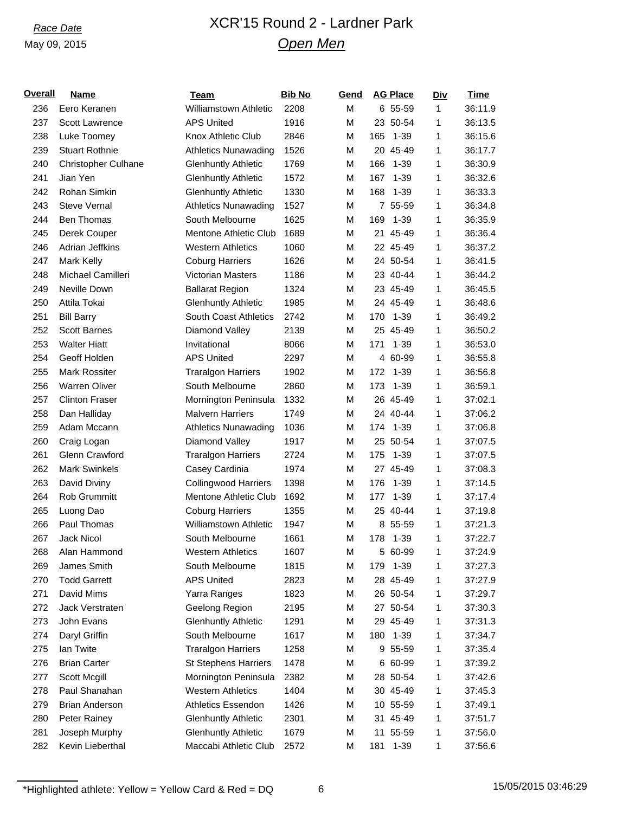## *Race Date* XCR'15 Round 2 - Lardner Park *Open Men*

| <b>Overall</b> | <b>Name</b>                | <b>Team</b>                  | <b>Bib No</b> | Gend | <b>AG Place</b> | <b>Div</b> | Time    |
|----------------|----------------------------|------------------------------|---------------|------|-----------------|------------|---------|
| 236            | Eero Keranen               | <b>Williamstown Athletic</b> | 2208          | M    | 6 55-59         | 1          | 36:11.9 |
| 237            | Scott Lawrence             | <b>APS United</b>            | 1916          | M    | 23 50-54        | 1          | 36:13.5 |
| 238            | Luke Toomey                | Knox Athletic Club           | 2846          | M    | 165<br>$1 - 39$ | 1          | 36:15.6 |
| 239            | <b>Stuart Rothnie</b>      | <b>Athletics Nunawading</b>  | 1526          | M    | 20 45-49        | 1          | 36:17.7 |
| 240            | <b>Christopher Culhane</b> | <b>Glenhuntly Athletic</b>   | 1769          | M    | 166<br>$1 - 39$ | 1          | 36:30.9 |
| 241            | Jian Yen                   | <b>Glenhuntly Athletic</b>   | 1572          | M    | 167<br>$1 - 39$ | 1          | 36:32.6 |
| 242            | Rohan Simkin               | <b>Glenhuntly Athletic</b>   | 1330          | M    | 168<br>$1 - 39$ | 1          | 36:33.3 |
| 243            | <b>Steve Vernal</b>        | <b>Athletics Nunawading</b>  | 1527          | M    | 7 55-59         | 1          | 36:34.8 |
| 244            | Ben Thomas                 | South Melbourne              | 1625          | M    | 169<br>$1 - 39$ | 1          | 36:35.9 |
| 245            | Derek Couper               | Mentone Athletic Club        | 1689          | M    | 21 45-49        | 1          | 36:36.4 |
| 246            | Adrian Jeffkins            | <b>Western Athletics</b>     | 1060          | M    | 22 45-49        | 1          | 36:37.2 |
| 247            | <b>Mark Kelly</b>          | <b>Coburg Harriers</b>       | 1626          | M    | 24 50-54        | 1          | 36:41.5 |
| 248            | Michael Camilleri          | <b>Victorian Masters</b>     | 1186          | M    | 23 40-44        | 1          | 36:44.2 |
| 249            | Neville Down               | <b>Ballarat Region</b>       | 1324          | M    | 23 45-49        | 1          | 36:45.5 |
| 250            | Attila Tokai               | <b>Glenhuntly Athletic</b>   | 1985          | M    | 24 45-49        | 1          | 36:48.6 |
| 251            | <b>Bill Barry</b>          | South Coast Athletics        | 2742          | M    | 170<br>$1 - 39$ | 1          | 36:49.2 |
| 252            | <b>Scott Barnes</b>        | Diamond Valley               | 2139          | M    | 25 45-49        | 1          | 36:50.2 |
| 253            | <b>Walter Hiatt</b>        | Invitational                 | 8066          | M    | $1 - 39$<br>171 | 1          | 36:53.0 |
| 254            | Geoff Holden               | <b>APS United</b>            | 2297          | M    | 4 60-99         | 1          | 36:55.8 |
| 255            | Mark Rossiter              | <b>Traralgon Harriers</b>    | 1902          | M    | 172<br>$1 - 39$ | 1          | 36:56.8 |
| 256            | <b>Warren Oliver</b>       | South Melbourne              | 2860          | M    | 173<br>$1 - 39$ | 1          | 36:59.1 |
| 257            | <b>Clinton Fraser</b>      | Mornington Peninsula         | 1332          | M    | 26 45-49        | 1          | 37:02.1 |
| 258            | Dan Halliday               | <b>Malvern Harriers</b>      | 1749          | M    | 24 40-44        | 1          | 37:06.2 |
| 259            | Adam Mccann                | <b>Athletics Nunawading</b>  | 1036          | M    | $1 - 39$<br>174 | 1          | 37:06.8 |
| 260            | Craig Logan                | Diamond Valley               | 1917          | M    | 25 50-54        | 1          | 37:07.5 |
| 261            | Glenn Crawford             | <b>Traralgon Harriers</b>    | 2724          | M    | 175<br>$1 - 39$ | 1          | 37:07.5 |
| 262            | <b>Mark Swinkels</b>       | Casey Cardinia               | 1974          | M    | 27 45-49        | 1          | 37:08.3 |
| 263            | David Diviny               | <b>Collingwood Harriers</b>  | 1398          | M    | 176<br>1-39     | 1          | 37:14.5 |
| 264            | Rob Grummitt               | <b>Mentone Athletic Club</b> | 1692          | M    | 177<br>$1 - 39$ | 1          | 37:17.4 |
| 265            | Luong Dao                  | <b>Coburg Harriers</b>       | 1355          | M    | 25 40-44        | 1          | 37:19.8 |
| 266            | Paul Thomas                | <b>Williamstown Athletic</b> | 1947          | M    | 8 55-59         | 1          | 37:21.3 |
| 267            | Jack Nicol                 | South Melbourne              | 1661          | M    | 178 1-39        | 1          | 37:22.7 |
| 268            | Alan Hammond               | <b>Western Athletics</b>     | 1607          | М    | 5 60-99         | 1          | 37:24.9 |
| 269            | James Smith                | South Melbourne              | 1815          | M    | $1 - 39$<br>179 | 1          | 37:27.3 |
| 270            | <b>Todd Garrett</b>        | <b>APS United</b>            | 2823          | M    | 28 45-49        | 1          | 37:27.9 |
| 271            | David Mims                 | Yarra Ranges                 | 1823          | М    | 26 50-54        | 1          | 37:29.7 |
| 272            | Jack Verstraten            | Geelong Region               | 2195          | М    | 27 50-54        | 1          | 37:30.3 |
| 273            | John Evans                 | <b>Glenhuntly Athletic</b>   | 1291          | М    | 29 45-49        | 1          | 37:31.3 |
| 274            | Daryl Griffin              | South Melbourne              | 1617          | М    | 180<br>$1 - 39$ | 1          | 37:34.7 |
| 275            | lan Twite                  | <b>Traralgon Harriers</b>    | 1258          | M    | 9 55-59         | 1          | 37:35.4 |
| 276            | <b>Brian Carter</b>        | <b>St Stephens Harriers</b>  | 1478          | М    | 6 60-99         | 1          | 37:39.2 |
| 277            | Scott Mcgill               | Mornington Peninsula         | 2382          | M    | 28 50-54        | 1          | 37:42.6 |
| 278            | Paul Shanahan              | <b>Western Athletics</b>     | 1404          | М    | 30 45-49        | 1          | 37:45.3 |
| 279            | <b>Brian Anderson</b>      | <b>Athletics Essendon</b>    | 1426          | M    | 10 55-59        | 1          | 37:49.1 |
| 280            | Peter Rainey               | <b>Glenhuntly Athletic</b>   | 2301          | М    | 31 45-49        | 1          | 37:51.7 |
| 281            | Joseph Murphy              | <b>Glenhuntly Athletic</b>   | 1679          | М    | 11 55-59        | 1          | 37:56.0 |
| 282            | Kevin Lieberthal           | Maccabi Athletic Club        | 2572          | М    | 181<br>$1 - 39$ | 1          | 37:56.6 |
|                |                            |                              |               |      |                 |            |         |

\*Highlighted athlete: Yellow = Yellow Card & Red = DQ  $\overline{6}$  6 15/05/2015 03:46:29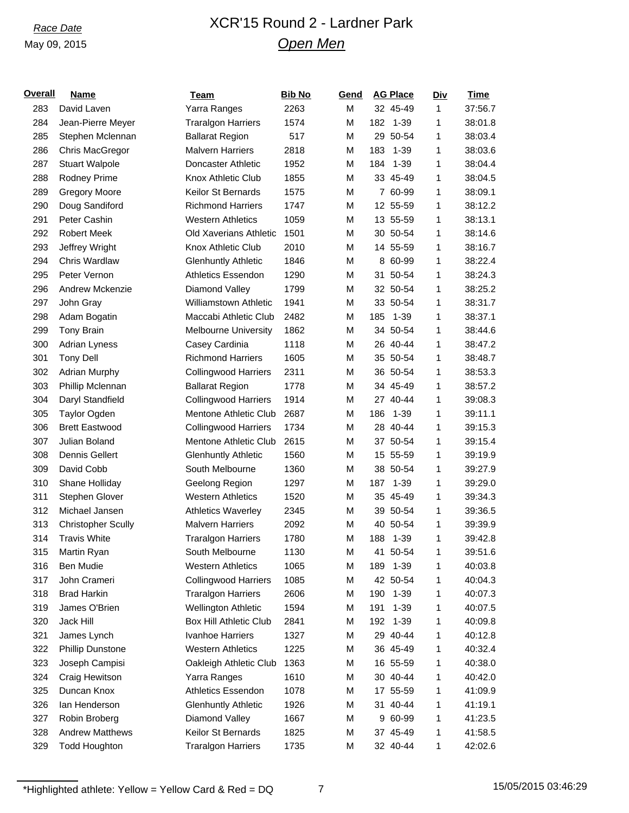## *Race Date* XCR'15 Round 2 - Lardner Park *Open Men*

| <b>Overall</b> | Name                      | Team                          | <b>Bib No</b> | Gend |     | <b>AG Place</b> | <b>Div</b> | <b>Time</b> |
|----------------|---------------------------|-------------------------------|---------------|------|-----|-----------------|------------|-------------|
| 283            | David Laven               | Yarra Ranges                  | 2263          | М    |     | 32 45-49        | 1          | 37:56.7     |
| 284            | Jean-Pierre Meyer         | <b>Traralgon Harriers</b>     | 1574          | М    | 182 | $1 - 39$        | 1          | 38:01.8     |
| 285            | Stephen Mclennan          | <b>Ballarat Region</b>        | 517           | M    |     | 29 50-54        | 1          | 38:03.4     |
| 286            | Chris MacGregor           | <b>Malvern Harriers</b>       | 2818          | М    | 183 | $1 - 39$        | 1          | 38:03.6     |
| 287            | <b>Stuart Walpole</b>     | Doncaster Athletic            | 1952          | М    | 184 | $1 - 39$        | 1          | 38:04.4     |
| 288            | Rodney Prime              | Knox Athletic Club            | 1855          | M    |     | 33 45-49        | 1          | 38:04.5     |
| 289            | <b>Gregory Moore</b>      | Keilor St Bernards            | 1575          | M    |     | 7 60-99         | 1          | 38:09.1     |
| 290            | Doug Sandiford            | <b>Richmond Harriers</b>      | 1747          | М    |     | 12 55-59        | 1          | 38:12.2     |
| 291            | Peter Cashin              | <b>Western Athletics</b>      | 1059          | М    |     | 13 55-59        | 1          | 38:13.1     |
| 292            | <b>Robert Meek</b>        | Old Xaverians Athletic        | 1501          | M    |     | 30 50-54        | 1          | 38:14.6     |
| 293            | Jeffrey Wright            | Knox Athletic Club            | 2010          | M    |     | 14 55-59        | 1          | 38:16.7     |
| 294            | Chris Wardlaw             | <b>Glenhuntly Athletic</b>    | 1846          | M    |     | 8 60-99         | 1          | 38:22.4     |
| 295            | Peter Vernon              | <b>Athletics Essendon</b>     | 1290          | М    |     | 31 50-54        | 1          | 38:24.3     |
| 296            | Andrew Mckenzie           | Diamond Valley                | 1799          | М    |     | 32 50-54        | 1          | 38:25.2     |
| 297            | John Gray                 | <b>Williamstown Athletic</b>  | 1941          | М    |     | 33 50-54        | 1          | 38:31.7     |
| 298            | Adam Bogatin              | Maccabi Athletic Club         | 2482          | М    | 185 | $1 - 39$        | 1          | 38:37.1     |
| 299            | <b>Tony Brain</b>         | <b>Melbourne University</b>   | 1862          | М    |     | 34 50-54        | 1          | 38:44.6     |
| 300            | Adrian Lyness             | Casey Cardinia                | 1118          | M    |     | 26 40-44        | 1          | 38:47.2     |
| 301            | <b>Tony Dell</b>          | <b>Richmond Harriers</b>      | 1605          | М    |     | 35 50-54        | 1          | 38:48.7     |
| 302            | <b>Adrian Murphy</b>      | <b>Collingwood Harriers</b>   | 2311          | М    |     | 36 50-54        | 1          | 38:53.3     |
| 303            | Phillip Mclennan          | <b>Ballarat Region</b>        | 1778          | М    |     | 34 45-49        | 1          | 38:57.2     |
| 304            | Daryl Standfield          | <b>Collingwood Harriers</b>   | 1914          | М    |     | 27 40-44        | 1          | 39:08.3     |
| 305            | Taylor Ogden              | Mentone Athletic Club         | 2687          | М    | 186 | $1 - 39$        | 1          | 39:11.1     |
| 306            | <b>Brett Eastwood</b>     | <b>Collingwood Harriers</b>   | 1734          | М    |     | 28 40-44        | 1          | 39:15.3     |
| 307            | Julian Boland             | <b>Mentone Athletic Club</b>  | 2615          | М    |     | 37 50-54        | 1          | 39:15.4     |
| 308            | Dennis Gellert            | <b>Glenhuntly Athletic</b>    | 1560          | М    |     | 15 55-59        | 1          | 39:19.9     |
| 309            | David Cobb                | South Melbourne               | 1360          | М    |     | 38 50-54        | 1          | 39:27.9     |
| 310            | Shane Holliday            | Geelong Region                | 1297          | M    | 187 | $1 - 39$        | 1          | 39:29.0     |
| 311            | Stephen Glover            | <b>Western Athletics</b>      | 1520          | M    |     | 35 45-49        | 1          | 39:34.3     |
| 312            | Michael Jansen            | <b>Athletics Waverley</b>     | 2345          | M    |     | 39 50-54        | 1          | 39:36.5     |
| 313            | <b>Christopher Scully</b> | <b>Malvern Harriers</b>       | 2092          | M    |     | 40 50-54        | 1          | 39:39.9     |
| 314            | <b>Travis White</b>       | <b>Traralgon Harriers</b>     | 1780          | M    | 188 | $1 - 39$        | 1          | 39:42.8     |
| 315            | Martin Ryan               | South Melbourne               | 1130          | М    |     | 41 50-54        | 1          | 39:51.6     |
| 316            | Ben Mudie                 | <b>Western Athletics</b>      | 1065          | М    | 189 | $1 - 39$        | 1          | 40:03.8     |
| 317            | John Crameri              | <b>Collingwood Harriers</b>   | 1085          | М    |     | 42 50-54        | 1          | 40:04.3     |
| 318            | <b>Brad Harkin</b>        | <b>Traralgon Harriers</b>     | 2606          | М    | 190 | $1 - 39$        | 1          | 40:07.3     |
| 319            | James O'Brien             | Wellington Athletic           | 1594          | М    | 191 | $1 - 39$        | 1          | 40:07.5     |
| 320            | Jack Hill                 | <b>Box Hill Athletic Club</b> | 2841          | M    | 192 | $1 - 39$        | 1          | 40:09.8     |
| 321            | James Lynch               | Ivanhoe Harriers              | 1327          | М    |     | 29 40-44        | 1          | 40:12.8     |
| 322            | <b>Phillip Dunstone</b>   | <b>Western Athletics</b>      | 1225          | М    |     | 36 45-49        | 1          | 40:32.4     |
| 323            | Joseph Campisi            | Oakleigh Athletic Club        | 1363          | М    |     | 16 55-59        | 1          | 40:38.0     |
| 324            | Craig Hewitson            | Yarra Ranges                  | 1610          | М    |     | 30 40-44        | 1          | 40:42.0     |
| 325            | Duncan Knox               | <b>Athletics Essendon</b>     | 1078          | M    |     | 17 55-59        | 1          | 41:09.9     |
| 326            | lan Henderson             | <b>Glenhuntly Athletic</b>    | 1926          | М    |     | 31 40-44        | 1          | 41:19.1     |
| 327            | Robin Broberg             | Diamond Valley                | 1667          | М    |     | 9 60-99         | 1          | 41:23.5     |
| 328            | <b>Andrew Matthews</b>    | Keilor St Bernards            | 1825          | М    |     | 37 45-49        | 1          | 41:58.5     |
| 329            | <b>Todd Houghton</b>      | <b>Traralgon Harriers</b>     | 1735          | М    |     | 32 40-44        | 1          | 42:02.6     |
|                |                           |                               |               |      |     |                 |            |             |

 $*$ Highlighted athlete: Yellow = Yellow Card & Red = DQ 7 15/05/2015 03:46:29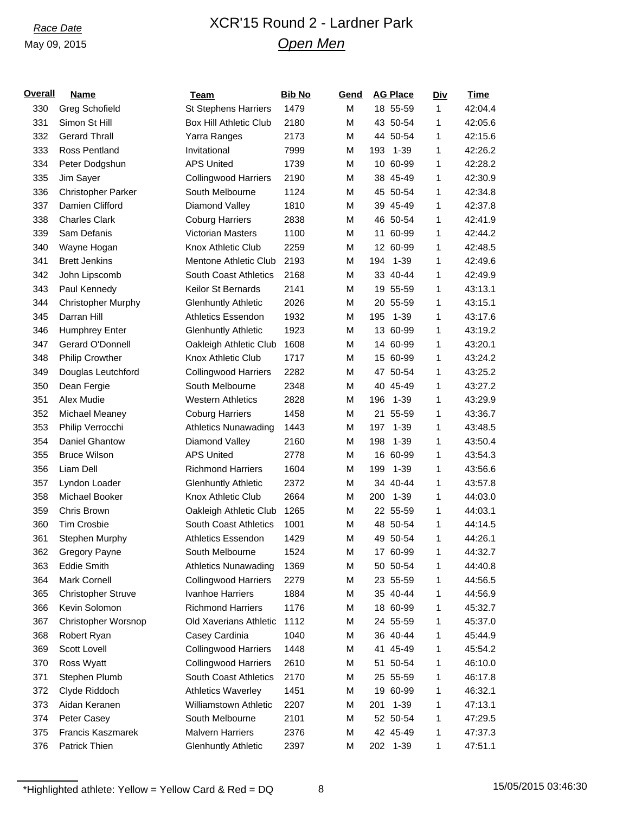## *Race Date* XCR'15 Round 2 - Lardner Park *Open Men*

| <b>Overall</b> | <b>Name</b>               | <b>Team</b>                   | <b>Bib No</b> | Gend | <b>AG Place</b> | <u>Div</u> | <u>Time</u> |
|----------------|---------------------------|-------------------------------|---------------|------|-----------------|------------|-------------|
| 330            | <b>Greg Schofield</b>     | <b>St Stephens Harriers</b>   | 1479          | M    | 18 55-59        | 1          | 42:04.4     |
| 331            | Simon St Hill             | <b>Box Hill Athletic Club</b> | 2180          | M    | 43 50-54        | 1          | 42:05.6     |
| 332            | <b>Gerard Thrall</b>      | Yarra Ranges                  | 2173          | M    | 44 50-54        | 1          | 42:15.6     |
| 333            | Ross Pentland             | Invitational                  | 7999          | M    | 193<br>$1 - 39$ | 1          | 42:26.2     |
| 334            | Peter Dodgshun            | <b>APS United</b>             | 1739          | M    | 10 60-99        | 1          | 42:28.2     |
| 335            | Jim Sayer                 | <b>Collingwood Harriers</b>   | 2190          | M    | 38 45-49        | 1          | 42:30.9     |
| 336            | <b>Christopher Parker</b> | South Melbourne               | 1124          | M    | 45 50-54        | 1          | 42:34.8     |
| 337            | Damien Clifford           | Diamond Valley                | 1810          | M    | 39 45-49        | 1          | 42:37.8     |
| 338            | <b>Charles Clark</b>      | <b>Coburg Harriers</b>        | 2838          | M    | 46 50-54        | 1          | 42:41.9     |
| 339            | Sam Defanis               | <b>Victorian Masters</b>      | 1100          | M    | 11 60-99        | 1          | 42:44.2     |
| 340            | Wayne Hogan               | Knox Athletic Club            | 2259          | M    | 12 60-99        | 1          | 42:48.5     |
| 341            | <b>Brett Jenkins</b>      | Mentone Athletic Club         | 2193          | M    | $1 - 39$<br>194 | 1          | 42:49.6     |
| 342            | John Lipscomb             | South Coast Athletics         | 2168          | M    | 33 40-44        | 1          | 42:49.9     |
| 343            | Paul Kennedy              | Keilor St Bernards            | 2141          | M    | 19 55-59        | 1          | 43:13.1     |
| 344            | <b>Christopher Murphy</b> | <b>Glenhuntly Athletic</b>    | 2026          | M    | 20 55-59        | 1          | 43:15.1     |
| 345            | Darran Hill               | Athletics Essendon            | 1932          | M    | 195<br>$1 - 39$ | 1          | 43:17.6     |
| 346            | Humphrey Enter            | <b>Glenhuntly Athletic</b>    | 1923          | M    | 13 60-99        | 1          | 43:19.2     |
| 347            | Gerard O'Donnell          | Oakleigh Athletic Club        | 1608          | M    | 14 60-99        | 1          | 43:20.1     |
| 348            | <b>Philip Crowther</b>    | Knox Athletic Club            | 1717          | M    | 15 60-99        | 1          | 43:24.2     |
| 349            | Douglas Leutchford        | <b>Collingwood Harriers</b>   | 2282          | M    | 47 50-54        | 1          | 43:25.2     |
| 350            | Dean Fergie               | South Melbourne               | 2348          | M    | 40 45-49        | 1          | 43:27.2     |
| 351            | Alex Mudie                | <b>Western Athletics</b>      | 2828          | M    | 196<br>$1 - 39$ | 1          | 43:29.9     |
| 352            | Michael Meaney            | <b>Coburg Harriers</b>        | 1458          | M    | 21 55-59        | 1          | 43:36.7     |
| 353            | Philip Verrocchi          | <b>Athletics Nunawading</b>   | 1443          | M    | $1 - 39$<br>197 | 1          | 43:48.5     |
| 354            | Daniel Ghantow            | Diamond Valley                | 2160          | M    | 198<br>$1 - 39$ | 1          | 43:50.4     |
| 355            | <b>Bruce Wilson</b>       | <b>APS United</b>             | 2778          | M    | 16 60-99        | 1          | 43:54.3     |
| 356            | Liam Dell                 | <b>Richmond Harriers</b>      | 1604          | M    | $1 - 39$<br>199 | 1          | 43:56.6     |
| 357            | Lyndon Loader             | <b>Glenhuntly Athletic</b>    | 2372          | M    | 34 40-44        | 1          | 43:57.8     |
| 358            | Michael Booker            | Knox Athletic Club            | 2664          | M    | $1 - 39$<br>200 | 1          | 44:03.0     |
| 359            | Chris Brown               | Oakleigh Athletic Club        | 1265          | M    | 22 55-59        | 1          | 44:03.1     |
| 360            | <b>Tim Crosbie</b>        | South Coast Athletics         | 1001          | M    | 48 50-54        | 1          | 44:14.5     |
| 361            | Stephen Murphy            | Athletics Essendon            | 1429          | M    | 49 50-54        | 1          | 44:26.1     |
| 362            | Gregory Payne             | South Melbourne               | 1524          | M    | 17 60-99        | 1          | 44:32.7     |
| 363            | Eddie Smith               | <b>Athletics Nunawading</b>   | 1369          | M    | 50 50-54        | 1          | 44:40.8     |
| 364            | Mark Cornell              | <b>Collingwood Harriers</b>   | 2279          | M    | 23 55-59        | 1          | 44:56.5     |
| 365            | <b>Christopher Struve</b> | <b>Ivanhoe Harriers</b>       | 1884          | M    | 35 40-44        | 1          | 44:56.9     |
| 366            | Kevin Solomon             | <b>Richmond Harriers</b>      | 1176          | M    | 18 60-99        | 1          | 45:32.7     |
| 367            | Christopher Worsnop       | Old Xaverians Athletic        | 1112          | M    | 24 55-59        | 1          | 45:37.0     |
| 368            | Robert Ryan               | Casey Cardinia                | 1040          | M    | 36 40-44        | 1          | 45:44.9     |
| 369            | Scott Lovell              | <b>Collingwood Harriers</b>   | 1448          | M    | 41 45-49        | 1          | 45:54.2     |
| 370            | Ross Wyatt                | <b>Collingwood Harriers</b>   | 2610          | M    | 51 50-54        | 1          | 46:10.0     |
| 371            | Stephen Plumb             | South Coast Athletics         | 2170          | M    | 25 55-59        | 1          | 46:17.8     |
| 372            | Clyde Riddoch             | <b>Athletics Waverley</b>     | 1451          | M    | 19 60-99        | 1          | 46:32.1     |
| 373            | Aidan Keranen             | Williamstown Athletic         | 2207          | M    | $1 - 39$<br>201 | 1          | 47:13.1     |
| 374            | Peter Casey               | South Melbourne               | 2101          | M    | 52 50-54        | 1          | 47:29.5     |
| 375            | Francis Kaszmarek         | <b>Malvern Harriers</b>       | 2376          | M    | 42 45-49        | 1          | 47:37.3     |
| 376            | Patrick Thien             | <b>Glenhuntly Athletic</b>    | 2397          | М    | 202 1-39        | 1          | 47:51.1     |
|                |                           |                               |               |      |                 |            |             |

\*Highlighted athlete: Yellow = Yellow Card & Red = DQ 8  $\frac{8}{15/05/2015}$  15/05/2015 03:46:30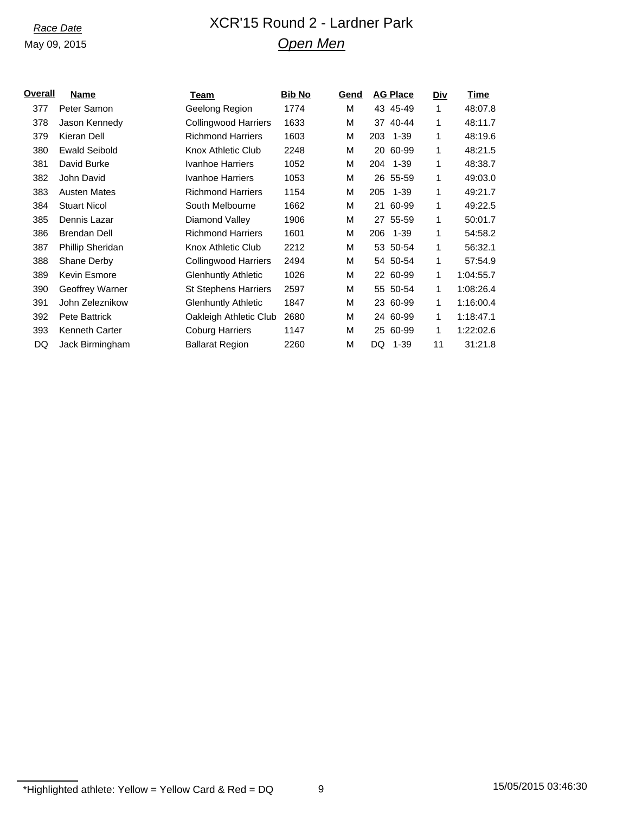## *Race Date* XCR'15 Round 2 - Lardner Park *Open Men*

| Overall | Name                 | Team                        | <b>Bib No</b> | Gend | <b>AG Place</b> |          | Div | <b>Time</b> |
|---------|----------------------|-----------------------------|---------------|------|-----------------|----------|-----|-------------|
| 377     | Peter Samon          | Geelong Region              | 1774          | М    | 43 45-49        |          | 1   | 48:07.8     |
| 378     | Jason Kennedy        | <b>Collingwood Harriers</b> | 1633          | М    | 37              | 40-44    | 1   | 48:11.7     |
| 379     | Kieran Dell          | <b>Richmond Harriers</b>    | 1603          | M    | 203             | 1-39     | 1   | 48:19.6     |
| 380     | <b>Ewald Seibold</b> | Knox Athletic Club          | 2248          | M    | 20 60-99        |          | 1   | 48:21.5     |
| 381     | David Burke          | Ivanhoe Harriers            | 1052          | М    | 204             | 1-39     | 1   | 48:38.7     |
| 382     | John David           | Ivanhoe Harriers            | 1053          | М    | 26 55-59        |          | 1   | 49:03.0     |
| 383     | <b>Austen Mates</b>  | <b>Richmond Harriers</b>    | 1154          | M    | 205             | $1 - 39$ | 1   | 49:21.7     |
| 384     | <b>Stuart Nicol</b>  | South Melbourne             | 1662          | М    | 21 60-99        |          | 1   | 49:22.5     |
| 385     | Dennis Lazar         | Diamond Valley              | 1906          | M    | 27 55-59        |          | 1   | 50:01.7     |
| 386     | <b>Brendan Dell</b>  | <b>Richmond Harriers</b>    | 1601          | M    | 206             | 1-39     | 1   | 54:58.2     |
| 387     | Phillip Sheridan     | Knox Athletic Club          | 2212          | М    | 53 50-54        |          | 1   | 56:32.1     |
| 388     | Shane Derby          | Collingwood Harriers        | 2494          | М    |                 | 54 50-54 | 1   | 57:54.9     |
| 389     | Kevin Esmore         | <b>Glenhuntly Athletic</b>  | 1026          | М    | 22 60-99        |          | 1   | 1:04:55.7   |
| 390     | Geoffrey Warner      | <b>St Stephens Harriers</b> | 2597          | М    | 55 50-54        |          | 1   | 1:08:26.4   |
| 391     | John Zeleznikow      | <b>Glenhuntly Athletic</b>  | 1847          | M    | 23 60-99        |          | 1   | 1:16:00.4   |
| 392     | <b>Pete Battrick</b> | Oakleigh Athletic Club      | 2680          | M    | 24 60-99        |          | 1   | 1:18:47.1   |
| 393     | Kenneth Carter       | <b>Coburg Harriers</b>      | 1147          | M    | 25              | 60-99    | 1   | 1:22:02.6   |
| DQ      | Jack Birmingham      | <b>Ballarat Region</b>      | 2260          | M    | DQ              | 1-39     | 11  | 31:21.8     |
|         |                      |                             |               |      |                 |          |     |             |

 $*$ Highlighted athlete: Yellow = Yellow Card & Red = DQ 9 15/05/2015 03:46:30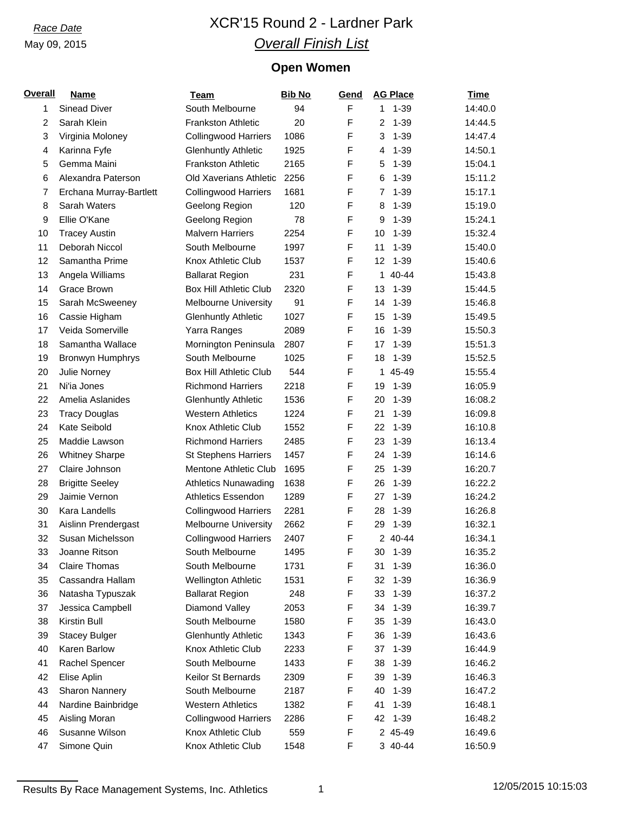# *Race Date* XCR'15 Round 2 - Lardner Park *Overall Finish List*

## **Open Women**

| <b>Overall</b> | <b>Name</b>             | <b>Team</b>                   | <b>Bib No</b> | Gend | <b>AG Place</b> | <b>Time</b> |
|----------------|-------------------------|-------------------------------|---------------|------|-----------------|-------------|
| 1              | <b>Sinead Diver</b>     | South Melbourne               | 94            | F    | $1 - 39$<br>1   | 14:40.0     |
| $\overline{2}$ | Sarah Klein             | <b>Frankston Athletic</b>     | 20            | F    | 2<br>$1 - 39$   | 14:44.5     |
| 3              | Virginia Moloney        | <b>Collingwood Harriers</b>   | 1086          | F    | 3<br>$1 - 39$   | 14:47.4     |
| 4              | Karinna Fyfe            | <b>Glenhuntly Athletic</b>    | 1925          | F    | $1 - 39$<br>4   | 14:50.1     |
| 5              | Gemma Maini             | <b>Frankston Athletic</b>     | 2165          | F    | $1 - 39$<br>5   | 15:04.1     |
| 6              | Alexandra Paterson      | Old Xaverians Athletic        | 2256          | F    | $1 - 39$<br>6   | 15:11.2     |
| $\overline{7}$ | Erchana Murray-Bartlett | <b>Collingwood Harriers</b>   | 1681          | F    | $1 - 39$<br>7   | 15:17.1     |
| 8              | Sarah Waters            | Geelong Region                | 120           | F    | $1 - 39$<br>8   | 15:19.0     |
| 9              | Ellie O'Kane            | Geelong Region                | 78            | F    | $1 - 39$<br>9   | 15:24.1     |
| 10             | <b>Tracey Austin</b>    | <b>Malvern Harriers</b>       | 2254          | F    | $1 - 39$<br>10  | 15:32.4     |
| 11             | Deborah Niccol          | South Melbourne               | 1997          | F    | $1 - 39$<br>11  | 15:40.0     |
| 12             | Samantha Prime          | Knox Athletic Club            | 1537          | F    | $1 - 39$<br>12  | 15:40.6     |
| 13             | Angela Williams         | <b>Ballarat Region</b>        | 231           | F    | 40-44<br>1      | 15:43.8     |
| 14             | Grace Brown             | <b>Box Hill Athletic Club</b> | 2320          | F    | $1 - 39$<br>13  | 15:44.5     |
| 15             | Sarah McSweeney         | <b>Melbourne University</b>   | 91            | F    | $1 - 39$<br>14  | 15:46.8     |
| 16             | Cassie Higham           | <b>Glenhuntly Athletic</b>    | 1027          | F    | $1 - 39$<br>15  | 15:49.5     |
| 17             | Veida Somerville        | Yarra Ranges                  | 2089          | F    | 16<br>$1 - 39$  | 15:50.3     |
| 18             | Samantha Wallace        | Mornington Peninsula          | 2807          | F    | $1 - 39$<br>17  | 15:51.3     |
| 19             | Bronwyn Humphrys        | South Melbourne               | 1025          | F    | $1 - 39$<br>18  | 15:52.5     |
| 20             | Julie Norney            | <b>Box Hill Athletic Club</b> | 544           | F    | 45-49<br>1      | 15:55.4     |
| 21             | Ni'ia Jones             | <b>Richmond Harriers</b>      | 2218          | F    | $1 - 39$<br>19  | 16:05.9     |
| 22             | Amelia Aslanides        | <b>Glenhuntly Athletic</b>    | 1536          | F    | $1 - 39$<br>20  | 16:08.2     |
| 23             | <b>Tracy Douglas</b>    | <b>Western Athletics</b>      | 1224          | F    | $1 - 39$<br>21  | 16:09.8     |
| 24             | Kate Seibold            | Knox Athletic Club            | 1552          | F    | $1 - 39$<br>22  | 16:10.8     |
| 25             | Maddie Lawson           | <b>Richmond Harriers</b>      | 2485          | F    | 23<br>$1 - 39$  | 16:13.4     |
| 26             | <b>Whitney Sharpe</b>   | <b>St Stephens Harriers</b>   | 1457          | F    | $1 - 39$<br>24  | 16:14.6     |
| 27             | Claire Johnson          | Mentone Athletic Club         | 1695          | F    | $1 - 39$<br>25  | 16:20.7     |
| 28             | <b>Brigitte Seeley</b>  | <b>Athletics Nunawading</b>   | 1638          | F    | $1 - 39$<br>26  | 16:22.2     |
| 29             | Jaimie Vernon           | Athletics Essendon            | 1289          | F    | $1 - 39$<br>27  | 16:24.2     |
| 30             | Kara Landells           | <b>Collingwood Harriers</b>   | 2281          | F    | $1 - 39$<br>28  | 16:26.8     |
| 31             | Aislinn Prendergast     | Melbourne University          | 2662          | F    | $1 - 39$<br>29  | 16:32.1     |
| 32             | Susan Michelsson        | <b>Collingwood Harriers</b>   | 2407          | F    | 2 40-44         | 16:34.1     |
| 33             | Joanne Ritson           | South Melbourne               | 1495          | F    | 30<br>1-39      | 16:35.2     |
| 34             | <b>Claire Thomas</b>    | South Melbourne               | 1731          | F    | 31<br>$1 - 39$  | 16:36.0     |
| 35             | Cassandra Hallam        | Wellington Athletic           | 1531          | F    | $1 - 39$<br>32  | 16:36.9     |
| 36             | Natasha Typuszak        | <b>Ballarat Region</b>        | 248           | F    | $1 - 39$<br>33  | 16:37.2     |
| 37             | Jessica Campbell        | Diamond Valley                | 2053          | F    | $1 - 39$<br>34  | 16:39.7     |
| 38             | Kirstin Bull            | South Melbourne               | 1580          | F    | $1 - 39$<br>35  | 16:43.0     |
| 39             | <b>Stacey Bulger</b>    | <b>Glenhuntly Athletic</b>    | 1343          | F    | $1 - 39$<br>36  | 16:43.6     |
| 40             | Karen Barlow            | Knox Athletic Club            | 2233          | F    | $1 - 39$<br>37  | 16:44.9     |
| 41             | Rachel Spencer          | South Melbourne               | 1433          | F    | $1 - 39$<br>38  | 16:46.2     |
| 42             | Elise Aplin             | Keilor St Bernards            | 2309          | F    | $1 - 39$<br>39  | 16:46.3     |
| 43             | Sharon Nannery          | South Melbourne               | 2187          | F    | 40<br>$1 - 39$  | 16:47.2     |
| 44             | Nardine Bainbridge      | <b>Western Athletics</b>      | 1382          | F    | $1 - 39$<br>41  | 16:48.1     |
| 45             | Aisling Moran           | <b>Collingwood Harriers</b>   | 2286          | F    | 42<br>$1 - 39$  | 16:48.2     |
| 46             | Susanne Wilson          | Knox Athletic Club            | 559           | F    | 2 45-49         | 16:49.6     |
| 47             | Simone Quin             | Knox Athletic Club            | 1548          | F    | 3 40-44         | 16:50.9     |

Results By Race Management Systems, Inc. Athletics 1 12/05/2015 10:15:03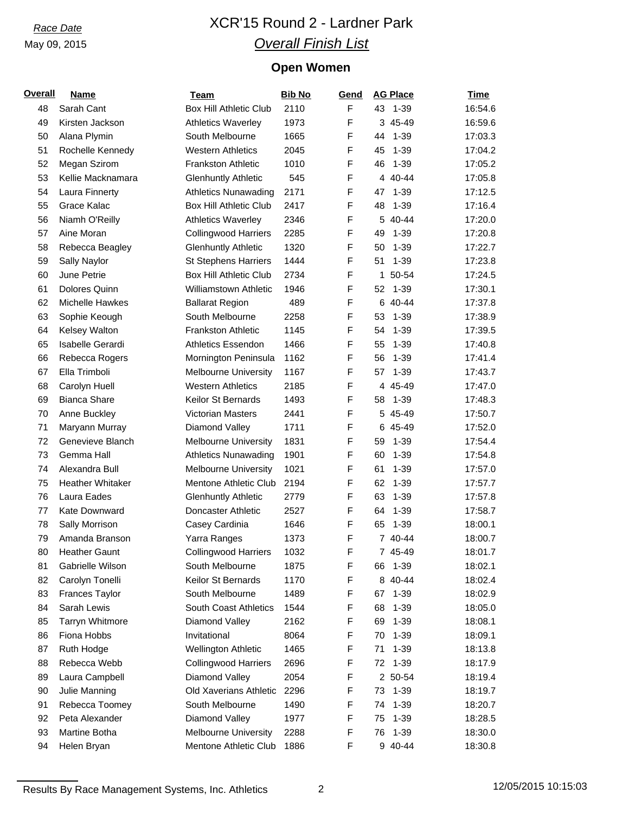# *Race Date* XCR'15 Round 2 - Lardner Park *Overall Finish List*

## **Open Women**

| <b>Overall</b> | <b>Name</b>                          | <b>Team</b>                   | <b>Bib No</b> | <b>Gend</b> | <b>AG Place</b>           | Time               |
|----------------|--------------------------------------|-------------------------------|---------------|-------------|---------------------------|--------------------|
| 48             | Sarah Cant                           | <b>Box Hill Athletic Club</b> | 2110          | $\mathsf F$ | 43 1-39                   | 16:54.6            |
| 49             | Kirsten Jackson                      | <b>Athletics Waverley</b>     | 1973          | F           | 3 45-49                   | 16:59.6            |
| 50             | Alana Plymin                         | South Melbourne               | 1665          | F           | $1 - 39$<br>44            | 17:03.3            |
| 51             | Rochelle Kennedy                     | <b>Western Athletics</b>      | 2045          | F           | $1 - 39$<br>45            | 17:04.2            |
| 52             | Megan Szirom                         | <b>Frankston Athletic</b>     | 1010          | F           | $1 - 39$<br>46            | 17:05.2            |
| 53             | Kellie Macknamara                    | <b>Glenhuntly Athletic</b>    | 545           | F           | 4 40-44                   | 17:05.8            |
| 54             | Laura Finnerty                       | <b>Athletics Nunawading</b>   | 2171          | F           | $1 - 39$<br>47            | 17:12.5            |
| 55             | Grace Kalac                          | <b>Box Hill Athletic Club</b> | 2417          | F           | $1 - 39$<br>48            | 17:16.4            |
| 56             | Niamh O'Reilly                       | <b>Athletics Waverley</b>     | 2346          | F           | 5 40-44                   | 17:20.0            |
| 57             | Aine Moran                           | <b>Collingwood Harriers</b>   | 2285          | F           | 49<br>$1 - 39$            | 17:20.8            |
| 58             | Rebecca Beagley                      | <b>Glenhuntly Athletic</b>    | 1320          | F           | $1 - 39$<br>50            | 17:22.7            |
| 59             | Sally Naylor                         | <b>St Stephens Harriers</b>   | 1444          | F           | $1 - 39$<br>51            | 17:23.8            |
| 60             | June Petrie                          | <b>Box Hill Athletic Club</b> | 2734          | F           | 50-54<br>1                | 17:24.5            |
| 61             | Dolores Quinn                        | Williamstown Athletic         | 1946          | F           | 52<br>$1 - 39$            | 17:30.1            |
| 62             | Michelle Hawkes                      | <b>Ballarat Region</b>        | 489           | F           | 6 40-44                   | 17:37.8            |
| 63             | Sophie Keough                        | South Melbourne               | 2258          | F           | $1 - 39$<br>53            | 17:38.9            |
| 64             | Kelsey Walton                        | <b>Frankston Athletic</b>     | 1145          | F           | $1 - 39$<br>54            | 17:39.5            |
| 65             | Isabelle Gerardi                     | <b>Athletics Essendon</b>     | 1466          | F           | 55<br>$1 - 39$            | 17:40.8            |
| 66             | Rebecca Rogers                       | Mornington Peninsula          | 1162          | F           | $1 - 39$<br>56            | 17:41.4            |
| 67             | Ella Trimboli                        | <b>Melbourne University</b>   | 1167          | F           | $1 - 39$<br>57            | 17:43.7            |
| 68             | Carolyn Huell                        | <b>Western Athletics</b>      | 2185          | F           | 4 45-49                   | 17:47.0            |
| 69             | <b>Bianca Share</b>                  | Keilor St Bernards            | 1493          | F           | $1 - 39$<br>58            | 17:48.3            |
| 70             | Anne Buckley                         | Victorian Masters             | 2441          | F           | 5 45-49                   | 17:50.7            |
| 71             | Maryann Murray                       | Diamond Valley                | 1711          | F           | 6 45-49                   | 17:52.0            |
| 72             | Genevieve Blanch                     | <b>Melbourne University</b>   | 1831          | F           | $1 - 39$<br>59            | 17:54.4            |
| 73             | Gemma Hall                           | <b>Athletics Nunawading</b>   | 1901          | F           | 60<br>$1 - 39$            | 17:54.8            |
| 74             | Alexandra Bull                       | <b>Melbourne University</b>   | 1021          | F           | 61<br>$1 - 39$            | 17:57.0            |
| 75             | <b>Heather Whitaker</b>              | Mentone Athletic Club         | 2194          | F           | $1 - 39$<br>62            | 17:57.7            |
| 76             | Laura Eades                          | <b>Glenhuntly Athletic</b>    | 2779          | F           | $1 - 39$<br>63            | 17:57.8            |
| 77             | Kate Downward                        | Doncaster Athletic            | 2527          | F           | $1 - 39$<br>64            | 17:58.7            |
| 78             | Sally Morrison                       | Casey Cardinia                | 1646          | F           | 65<br>$1 - 39$            | 18:00.1            |
| 79             | Amanda Branson                       | Yarra Ranges                  | 1373          | F           | 7 40-44                   | 18:00.7            |
| 80             | <b>Heather Gaunt</b>                 | <b>Collingwood Harriers</b>   | 1032          | F           | 7 45-49                   | 18:01.7            |
|                |                                      | South Melbourne               |               | F           |                           |                    |
| 81<br>82       | Gabrielle Wilson                     | Keilor St Bernards            | 1875<br>1170  | F           | $1 - 39$<br>66<br>8 40-44 | 18:02.1<br>18:02.4 |
| 83             | Carolyn Tonelli                      | South Melbourne               | 1489          | F           | $1 - 39$                  |                    |
|                | <b>Frances Taylor</b><br>Sarah Lewis | South Coast Athletics         |               | F           | 67<br>$1 - 39$<br>68      | 18:02.9            |
| 84             |                                      |                               | 1544          | F           |                           | 18:05.0            |
| 85             | <b>Tarryn Whitmore</b>               | Diamond Valley                | 2162          |             | 69<br>$1 - 39$            | 18:08.1            |
| 86             | Fiona Hobbs                          | Invitational                  | 8064          | F           | $1 - 39$<br>70            | 18:09.1            |
| 87             | Ruth Hodge                           | <b>Wellington Athletic</b>    | 1465          | F           | $1 - 39$<br>71            | 18:13.8            |
| 88             | Rebecca Webb                         | <b>Collingwood Harriers</b>   | 2696          | F           | $1 - 39$<br>72            | 18:17.9            |
| 89             | Laura Campbell                       | Diamond Valley                | 2054          | F           | 2 50-54                   | 18:19.4            |
| 90             | Julie Manning                        | Old Xaverians Athletic        | 2296          | F           | 73<br>$1 - 39$            | 18:19.7            |
| 91             | Rebecca Toomey                       | South Melbourne               | 1490          | F           | $1 - 39$<br>74            | 18:20.7            |
| 92             | Peta Alexander                       | Diamond Valley                | 1977          | F           | $1 - 39$<br>75            | 18:28.5            |
| 93             | Martine Botha                        | <b>Melbourne University</b>   | 2288          | F           | $1 - 39$<br>76            | 18:30.0            |
| 94             | Helen Bryan                          | Mentone Athletic Club         | 1886          | F           | 9 40-44                   | 18:30.8            |

Results By Race Management Systems, Inc. Athletics 2 12/05/2015 10:15:03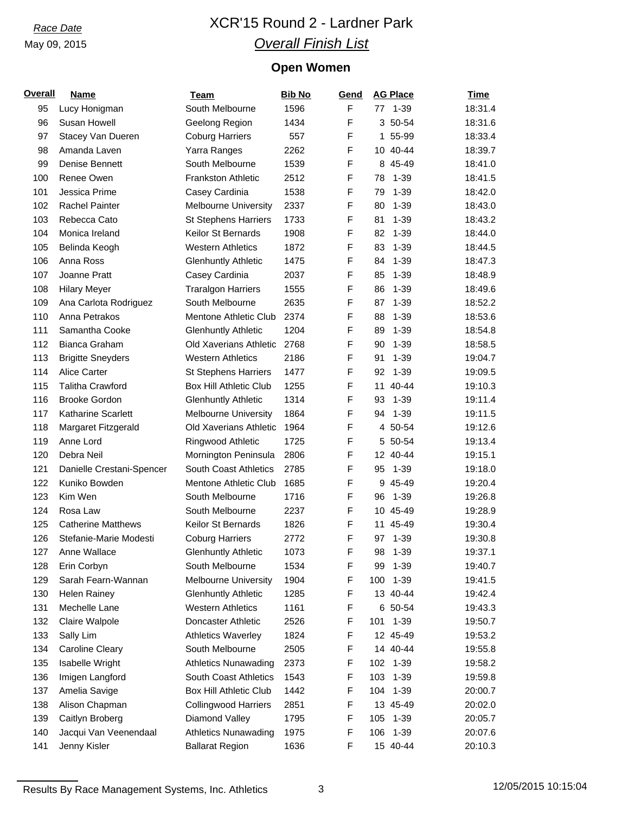# *Race Date* XCR'15 Round 2 - Lardner Park *Overall Finish List*

## **Open Women**

| <b>Overall</b> | <b>Name</b>               | <b>Team</b>                   | <b>Bib No</b> | Gend | <b>AG Place</b> | <b>Time</b> |
|----------------|---------------------------|-------------------------------|---------------|------|-----------------|-------------|
| 95             | Lucy Honigman             | South Melbourne               | 1596          | F    | $1 - 39$<br>77  | 18:31.4     |
| 96             | Susan Howell              | Geelong Region                | 1434          | F    | 3 50-54         | 18:31.6     |
| 97             | Stacey Van Dueren         | <b>Coburg Harriers</b>        | 557           | F    | 55-99<br>1      | 18:33.4     |
| 98             | Amanda Laven              | Yarra Ranges                  | 2262          | F    | 10 40-44        | 18:39.7     |
| 99             | Denise Bennett            | South Melbourne               | 1539          | F    | 8 45-49         | 18:41.0     |
| 100            | Renee Owen                | <b>Frankston Athletic</b>     | 2512          | F    | $1 - 39$<br>78  | 18:41.5     |
| 101            | Jessica Prime             | Casey Cardinia                | 1538          | F    | $1 - 39$<br>79  | 18:42.0     |
| 102            | <b>Rachel Painter</b>     | <b>Melbourne University</b>   | 2337          | F    | $1 - 39$<br>80  | 18:43.0     |
| 103            | Rebecca Cato              | <b>St Stephens Harriers</b>   | 1733          | F    | 81<br>$1 - 39$  | 18:43.2     |
| 104            | Monica Ireland            | Keilor St Bernards            | 1908          | F    | 82<br>$1 - 39$  | 18:44.0     |
| 105            | Belinda Keogh             | <b>Western Athletics</b>      | 1872          | F    | 83<br>$1 - 39$  | 18:44.5     |
| 106            | Anna Ross                 | <b>Glenhuntly Athletic</b>    | 1475          | F    | $1 - 39$<br>84  | 18:47.3     |
| 107            | Joanne Pratt              | Casey Cardinia                | 2037          | F    | $1 - 39$<br>85  | 18:48.9     |
| 108            | <b>Hilary Meyer</b>       | <b>Traralgon Harriers</b>     | 1555          | F    | 86<br>$1 - 39$  | 18:49.6     |
| 109            | Ana Carlota Rodriguez     | South Melbourne               | 2635          | F    | 87<br>$1 - 39$  | 18:52.2     |
| 110            | Anna Petrakos             | Mentone Athletic Club         | 2374          | F    | $1 - 39$<br>88  | 18:53.6     |
| 111            | Samantha Cooke            | <b>Glenhuntly Athletic</b>    | 1204          | F    | $1 - 39$<br>89  | 18:54.8     |
| 112            | Bianca Graham             | Old Xaverians Athletic        | 2768          | F    | $1 - 39$<br>90  | 18:58.5     |
| 113            | <b>Brigitte Sneyders</b>  | <b>Western Athletics</b>      | 2186          | F    | $1 - 39$<br>91  | 19:04.7     |
| 114            | Alice Carter              | <b>St Stephens Harriers</b>   | 1477          | F    | $1 - 39$<br>92  | 19:09.5     |
| 115            | <b>Talitha Crawford</b>   | <b>Box Hill Athletic Club</b> | 1255          | F    | 40-44<br>11     | 19:10.3     |
| 116            | <b>Brooke Gordon</b>      | <b>Glenhuntly Athletic</b>    | 1314          | F    | $1 - 39$<br>93  | 19:11.4     |
| 117            | Katharine Scarlett        | <b>Melbourne University</b>   | 1864          | F    | $1 - 39$<br>94  | 19:11.5     |
| 118            | Margaret Fitzgerald       | Old Xaverians Athletic        | 1964          | F    | 4 50-54         | 19:12.6     |
| 119            | Anne Lord                 | Ringwood Athletic             | 1725          | F    | 5 50-54         | 19:13.4     |
| 120            | Debra Neil                | Mornington Peninsula          | 2806          | F    | 12 40-44        | 19:15.1     |
| 121            | Danielle Crestani-Spencer | <b>South Coast Athletics</b>  | 2785          | F    | $1 - 39$<br>95  | 19:18.0     |
| 122            | Kuniko Bowden             | <b>Mentone Athletic Club</b>  | 1685          | F    | 45-49<br>9      | 19:20.4     |
| 123            | Kim Wen                   | South Melbourne               | 1716          | F    | $1 - 39$<br>96  | 19:26.8     |
| 124            | Rosa Law                  | South Melbourne               | 2237          | F    | 10 45-49        | 19:28.9     |
| 125            | <b>Catherine Matthews</b> | <b>Keilor St Bernards</b>     | 1826          | F    | 11 45-49        | 19:30.4     |
| 126            | Stefanie-Marie Modesti    | <b>Coburg Harriers</b>        | 2772          | F    | 97 1-39         | 19:30.8     |
| 127            | Anne Wallace              | <b>Glenhuntly Athletic</b>    | 1073          | F    | $1 - 39$<br>98  | 19:37.1     |
| 128            | Erin Corbyn               | South Melbourne               | 1534          | F    | 99<br>$1 - 39$  | 19:40.7     |
| 129            | Sarah Fearn-Wannan        | Melbourne University          | 1904          | F    | $1 - 39$<br>100 | 19:41.5     |
| 130            | <b>Helen Rainey</b>       | <b>Glenhuntly Athletic</b>    | 1285          | F    | 13 40-44        | 19:42.4     |
| 131            | Mechelle Lane             | <b>Western Athletics</b>      | 1161          | F    | 6 50-54         | 19:43.3     |
| 132            | Claire Walpole            | Doncaster Athletic            | 2526          | F    | $1 - 39$<br>101 | 19:50.7     |
| 133            | Sally Lim                 | <b>Athletics Waverley</b>     | 1824          | F    | 12 45-49        | 19:53.2     |
| 134            | <b>Caroline Cleary</b>    | South Melbourne               | 2505          | F    | 14 40-44        | 19:55.8     |
| 135            | Isabelle Wright           | <b>Athletics Nunawading</b>   | 2373          | F    | $1 - 39$<br>102 | 19:58.2     |
| 136            | Imigen Langford           | South Coast Athletics         | 1543          | F    | 103<br>$1 - 39$ | 19:59.8     |
| 137            | Amelia Savige             | <b>Box Hill Athletic Club</b> | 1442          | F    | $1 - 39$<br>104 | 20:00.7     |
| 138            | Alison Chapman            | <b>Collingwood Harriers</b>   | 2851          | F    | 13 45-49        | 20:02.0     |
| 139            | Caitlyn Broberg           | Diamond Valley                | 1795          | F    | $1 - 39$<br>105 | 20:05.7     |
| 140            | Jacqui Van Veenendaal     | <b>Athletics Nunawading</b>   | 1975          | F    | $1 - 39$<br>106 | 20:07.6     |
| 141            | Jenny Kisler              | <b>Ballarat Region</b>        | 1636          | F    | 15 40-44        | 20:10.3     |
|                |                           |                               |               |      |                 |             |

Results By Race Management Systems, Inc. Athletics 3 12/05/2015 10:15:04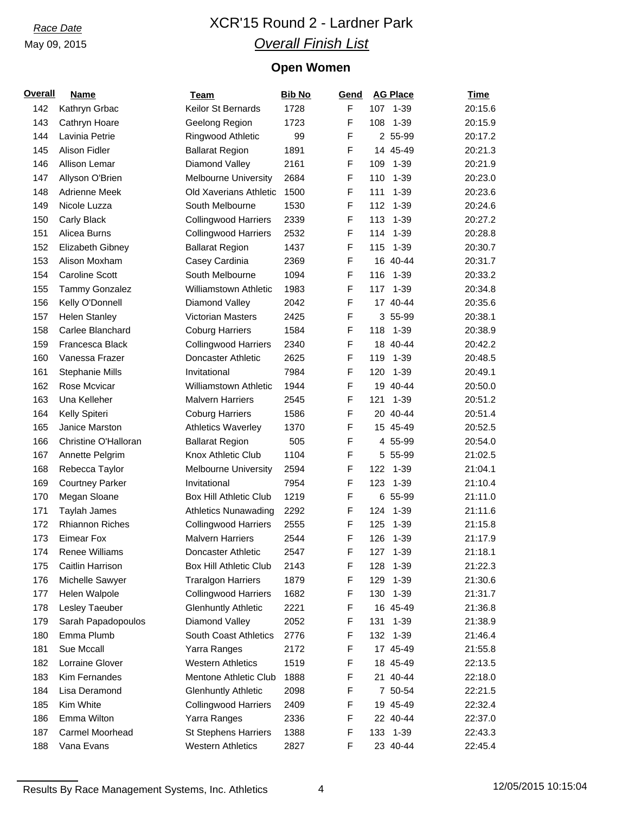# *Race Date* XCR'15 Round 2 - Lardner Park *Overall Finish List*

## **Open Women**

| Overall | <b>Name</b>            | Team                          | <b>Bib No</b> | Gend |     | <b>AG Place</b> | <b>Time</b> |
|---------|------------------------|-------------------------------|---------------|------|-----|-----------------|-------------|
| 142     | Kathryn Grbac          | Keilor St Bernards            | 1728          | F    |     | 107 1-39        | 20:15.6     |
| 143     | Cathryn Hoare          | Geelong Region                | 1723          | F    | 108 | $1 - 39$        | 20:15.9     |
| 144     | Lavinia Petrie         | Ringwood Athletic             | 99            | F    |     | 2 55-99         | 20:17.2     |
| 145     | Alison Fidler          | <b>Ballarat Region</b>        | 1891          | F    |     | 14 45-49        | 20:21.3     |
| 146     | Allison Lemar          | Diamond Valley                | 2161          | F    | 109 | $1 - 39$        | 20:21.9     |
| 147     | Allyson O'Brien        | <b>Melbourne University</b>   | 2684          | F    | 110 | $1 - 39$        | 20:23.0     |
| 148     | Adrienne Meek          | Old Xaverians Athletic        | 1500          | F    | 111 | $1 - 39$        | 20:23.6     |
| 149     | Nicole Luzza           | South Melbourne               | 1530          | F    | 112 | $1 - 39$        | 20:24.6     |
| 150     | Carly Black            | <b>Collingwood Harriers</b>   | 2339          | F    | 113 | $1 - 39$        | 20:27.2     |
| 151     | Alicea Burns           | <b>Collingwood Harriers</b>   | 2532          | F    | 114 | $1 - 39$        | 20:28.8     |
| 152     | Elizabeth Gibney       | <b>Ballarat Region</b>        | 1437          | F    | 115 | $1 - 39$        | 20:30.7     |
| 153     | Alison Moxham          | Casey Cardinia                | 2369          | F    |     | 16 40-44        | 20:31.7     |
| 154     | <b>Caroline Scott</b>  | South Melbourne               | 1094          | F    | 116 | $1 - 39$        | 20:33.2     |
| 155     | Tammy Gonzalez         | <b>Williamstown Athletic</b>  | 1983          | F    | 117 | $1 - 39$        | 20:34.8     |
| 156     | Kelly O'Donnell        | Diamond Valley                | 2042          | F    |     | 17 40-44        | 20:35.6     |
| 157     | <b>Helen Stanley</b>   | Victorian Masters             | 2425          | F    |     | 3 55-99         | 20:38.1     |
| 158     | Carlee Blanchard       | <b>Coburg Harriers</b>        | 1584          | F    | 118 | $1 - 39$        | 20:38.9     |
| 159     | Francesca Black        | <b>Collingwood Harriers</b>   | 2340          | F    |     | 18 40-44        | 20:42.2     |
| 160     | Vanessa Frazer         | Doncaster Athletic            | 2625          | F    | 119 | $1 - 39$        | 20:48.5     |
| 161     | <b>Stephanie Mills</b> | Invitational                  | 7984          | F    | 120 | $1 - 39$        | 20:49.1     |
| 162     | Rose Mcvicar           | Williamstown Athletic         | 1944          | F    |     | 19 40-44        | 20:50.0     |
| 163     | Una Kelleher           | <b>Malvern Harriers</b>       | 2545          | F    | 121 | $1 - 39$        | 20:51.2     |
| 164     | Kelly Spiteri          | <b>Coburg Harriers</b>        | 1586          | F    |     | 20 40-44        | 20:51.4     |
| 165     | Janice Marston         | <b>Athletics Waverley</b>     | 1370          | F    |     | 15 45-49        | 20:52.5     |
| 166     | Christine O'Halloran   | <b>Ballarat Region</b>        | 505           | F    |     | 4 55-99         | 20:54.0     |
| 167     | Annette Pelgrim        | Knox Athletic Club            | 1104          | F    |     | 5 55-99         | 21:02.5     |
| 168     | Rebecca Taylor         | <b>Melbourne University</b>   | 2594          | F    | 122 | $1 - 39$        | 21:04.1     |
| 169     |                        | Invitational                  | 7954          | F    | 123 | $1 - 39$        | 21:10.4     |
|         | <b>Courtney Parker</b> |                               |               | F    |     |                 |             |
| 170     | Megan Sloane           | <b>Box Hill Athletic Club</b> | 1219          | F    |     | 6 55-99         | 21:11.0     |
| 171     | Taylah James           | <b>Athletics Nunawading</b>   | 2292          |      | 124 | $1 - 39$        | 21:11.6     |
| 172     | <b>Rhiannon Riches</b> | <b>Collingwood Harriers</b>   | 2555          | F    | 125 | $1 - 39$        | 21:15.8     |
| 173     | <b>Eimear Fox</b>      | <b>Malvern Harriers</b>       | 2544          | F    | 126 | $1 - 39$        | 21:17.9     |
| 174     | Renee Williams         | Doncaster Athletic            | 2547          | F    |     | 127 1-39        | 21:18.1     |
| 175     | Caitlin Harrison       | <b>Box Hill Athletic Club</b> | 2143          | F    | 128 | $1 - 39$        | 21:22.3     |
| 176     | Michelle Sawyer        | <b>Traralgon Harriers</b>     | 1879          | F    | 129 | $1 - 39$        | 21:30.6     |
| 177     | Helen Walpole          | <b>Collingwood Harriers</b>   | 1682          | F    | 130 | $1 - 39$        | 21:31.7     |
| 178     | Lesley Taeuber         | <b>Glenhuntly Athletic</b>    | 2221          | F    |     | 16 45-49        | 21:36.8     |
| 179     | Sarah Papadopoulos     | Diamond Valley                | 2052          | F    | 131 | $1 - 39$        | 21:38.9     |
| 180     | Emma Plumb             | South Coast Athletics         | 2776          | F    | 132 | $1 - 39$        | 21:46.4     |
| 181     | Sue Mccall             | Yarra Ranges                  | 2172          | F    |     | 17 45-49        | 21:55.8     |
| 182     | Lorraine Glover        | <b>Western Athletics</b>      | 1519          | F    |     | 18 45-49        | 22:13.5     |
| 183     | Kim Fernandes          | Mentone Athletic Club         | 1888          | F    |     | 21 40-44        | 22:18.0     |
| 184     | Lisa Deramond          | <b>Glenhuntly Athletic</b>    | 2098          | F    |     | 7 50-54         | 22:21.5     |
| 185     | Kim White              | <b>Collingwood Harriers</b>   | 2409          | F    |     | 19 45-49        | 22:32.4     |
| 186     | Emma Wilton            | Yarra Ranges                  | 2336          | F    |     | 22 40-44        | 22:37.0     |
| 187     | Carmel Moorhead        | <b>St Stephens Harriers</b>   | 1388          | F    |     | 133 1-39        | 22:43.3     |
| 188     | Vana Evans             | <b>Western Athletics</b>      | 2827          | F    |     | 23 40-44        | 22:45.4     |

Results By Race Management Systems, Inc. Athletics 4 12/05/2015 10:15:04